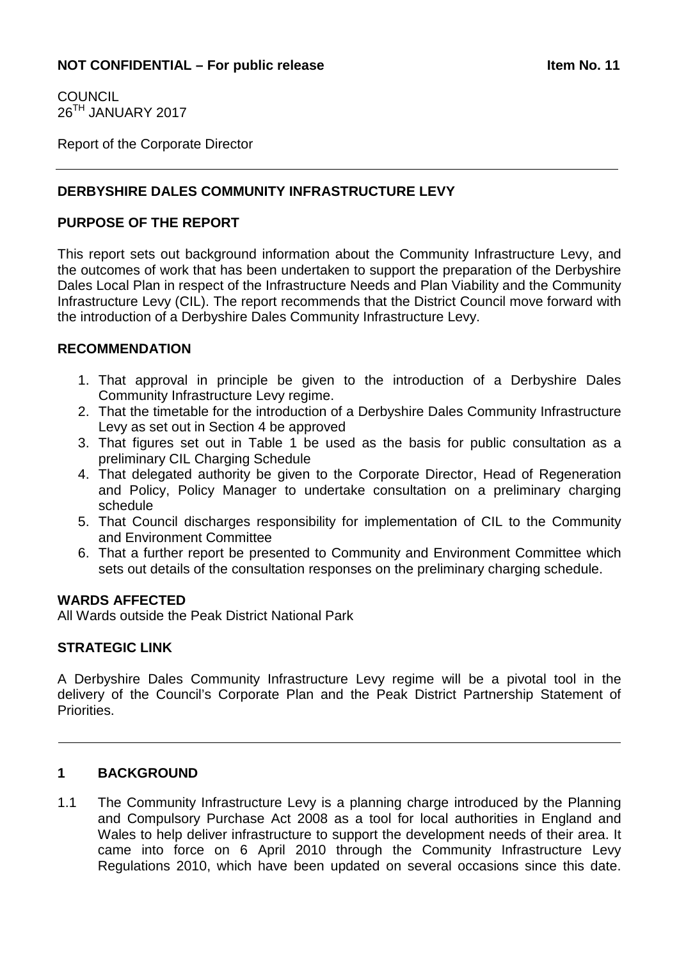**COUNCIL** 26TH JANUARY 2017

Report of the Corporate Director

## **DERBYSHIRE DALES COMMUNITY INFRASTRUCTURE LEVY**

#### **PURPOSE OF THE REPORT**

This report sets out background information about the Community Infrastructure Levy, and the outcomes of work that has been undertaken to support the preparation of the Derbyshire Dales Local Plan in respect of the Infrastructure Needs and Plan Viability and the Community Infrastructure Levy (CIL). The report recommends that the District Council move forward with the introduction of a Derbyshire Dales Community Infrastructure Levy.

#### **RECOMMENDATION**

- 1. That approval in principle be given to the introduction of a Derbyshire Dales Community Infrastructure Levy regime.
- 2. That the timetable for the introduction of a Derbyshire Dales Community Infrastructure Levy as set out in Section 4 be approved
- 3. That figures set out in Table 1 be used as the basis for public consultation as a preliminary CIL Charging Schedule
- 4. That delegated authority be given to the Corporate Director, Head of Regeneration and Policy, Policy Manager to undertake consultation on a preliminary charging schedule
- 5. That Council discharges responsibility for implementation of CIL to the Community and Environment Committee
- 6. That a further report be presented to Community and Environment Committee which sets out details of the consultation responses on the preliminary charging schedule.

#### **WARDS AFFECTED**

All Wards outside the Peak District National Park

#### **STRATEGIC LINK**

A Derbyshire Dales Community Infrastructure Levy regime will be a pivotal tool in the delivery of the Council's Corporate Plan and the Peak District Partnership Statement of Priorities.

#### **1 BACKGROUND**

1.1 The Community Infrastructure Levy is a planning charge introduced by the Planning and Compulsory Purchase Act 2008 as a tool for local authorities in England and Wales to help deliver infrastructure to support the development needs of their area. It came into force on 6 April 2010 through the Community Infrastructure Levy Regulations 2010, which have been updated on several occasions since this date.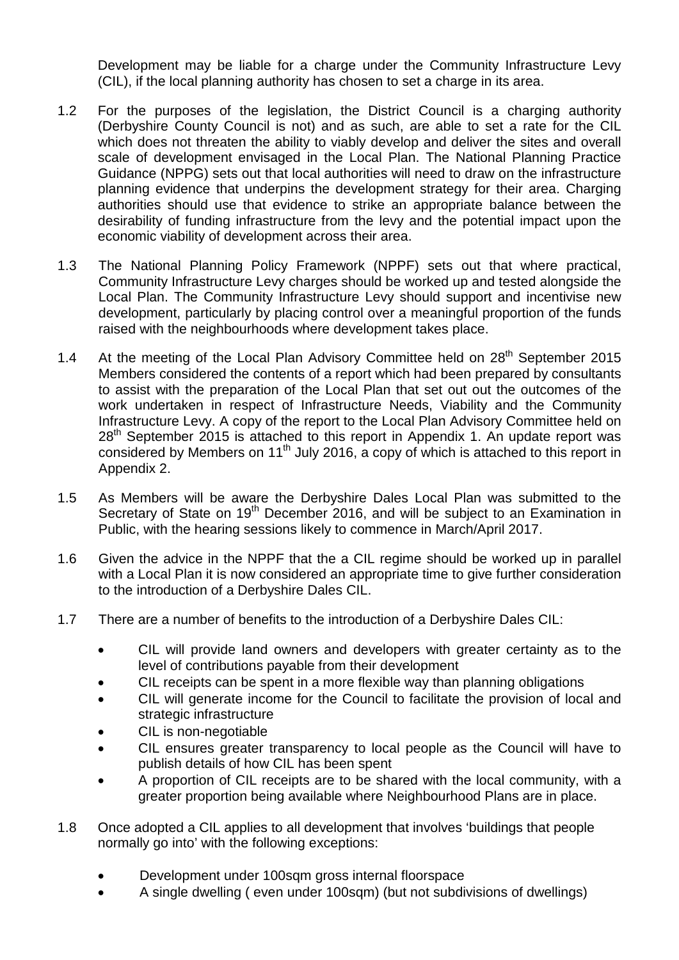Development may be liable for a charge under the Community Infrastructure Levy (CIL), if the local planning authority has chosen to set a charge in its area.

- 1.2 For the purposes of the legislation, the District Council is a charging authority (Derbyshire County Council is not) and as such, are able to set a rate for the CIL which does not threaten the ability to viably develop and deliver the sites and overall scale of development envisaged in the Local Plan. The National Planning Practice Guidance (NPPG) sets out that local authorities will need to draw on the infrastructure planning evidence that underpins the development strategy for their area. Charging authorities should use that evidence to strike an appropriate balance between the desirability of funding infrastructure from the levy and the potential impact upon the economic viability of development across their area.
- 1.3 The National Planning Policy Framework (NPPF) sets out that where practical, Community Infrastructure Levy charges should be worked up and tested alongside the Local Plan. The Community Infrastructure Levy should support and incentivise new development, particularly by placing control over a meaningful proportion of the funds raised with the neighbourhoods where development takes place.
- 1.4 At the meeting of the Local Plan Advisory Committee held on 28<sup>th</sup> September 2015 Members considered the contents of a report which had been prepared by consultants to assist with the preparation of the Local Plan that set out out the outcomes of the work undertaken in respect of Infrastructure Needs, Viability and the Community Infrastructure Levy. A copy of the report to the Local Plan Advisory Committee held on  $28<sup>th</sup>$  September 2015 is attached to this report in Appendix 1. An update report was considered by Members on 11<sup>th</sup> July 2016, a copy of which is attached to this report in Appendix 2.
- 1.5 As Members will be aware the Derbyshire Dales Local Plan was submitted to the Secretary of State on 19<sup>th</sup> December 2016, and will be subject to an Examination in Public, with the hearing sessions likely to commence in March/April 2017.
- 1.6 Given the advice in the NPPF that the a CIL regime should be worked up in parallel with a Local Plan it is now considered an appropriate time to give further consideration to the introduction of a Derbyshire Dales CIL.
- 1.7 There are a number of benefits to the introduction of a Derbyshire Dales CIL:
	- CIL will provide land owners and developers with greater certainty as to the level of contributions payable from their development
	- CIL receipts can be spent in a more flexible way than planning obligations
	- CIL will generate income for the Council to facilitate the provision of local and strategic infrastructure
	- CIL is non-negotiable
	- CIL ensures greater transparency to local people as the Council will have to publish details of how CIL has been spent
	- A proportion of CIL receipts are to be shared with the local community, with a greater proportion being available where Neighbourhood Plans are in place.
- 1.8 Once adopted a CIL applies to all development that involves 'buildings that people normally go into' with the following exceptions:
	- Development under 100sqm gross internal floorspace
	- A single dwelling ( even under 100sqm) (but not subdivisions of dwellings)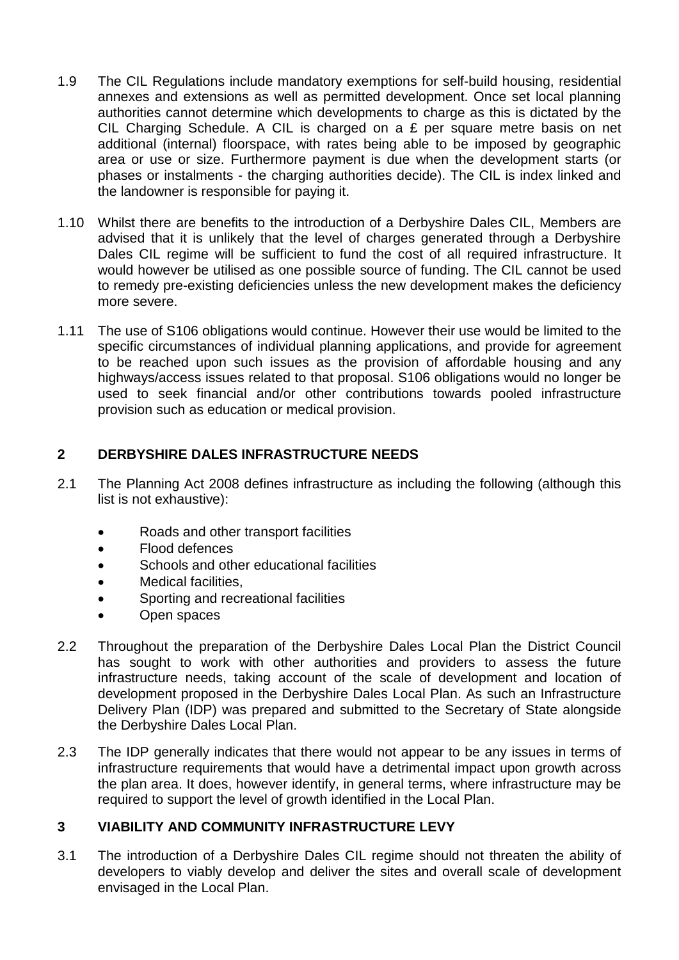- 1.9 The CIL Regulations include mandatory exemptions for self-build housing, residential annexes and extensions as well as permitted development. Once set local planning authorities cannot determine which developments to charge as this is dictated by the CIL Charging Schedule. A CIL is charged on a £ per square metre basis on net additional (internal) floorspace, with rates being able to be imposed by geographic area or use or size. Furthermore payment is due when the development starts (or phases or instalments - the charging authorities decide). The CIL is index linked and the landowner is responsible for paying it.
- 1.10 Whilst there are benefits to the introduction of a Derbyshire Dales CIL, Members are advised that it is unlikely that the level of charges generated through a Derbyshire Dales CIL regime will be sufficient to fund the cost of all required infrastructure. It would however be utilised as one possible source of funding. The CIL cannot be used to remedy pre-existing deficiencies unless the new development makes the deficiency more severe.
- 1.11 The use of S106 obligations would continue. However their use would be limited to the specific circumstances of individual planning applications, and provide for agreement to be reached upon such issues as the provision of affordable housing and any highways/access issues related to that proposal. S106 obligations would no longer be used to seek financial and/or other contributions towards pooled infrastructure provision such as education or medical provision.

## **2 DERBYSHIRE DALES INFRASTRUCTURE NEEDS**

- 2.1 The Planning Act 2008 defines infrastructure as including the following (although this list is not exhaustive):
	- Roads and other transport facilities
	- Flood defences
	- Schools and other educational facilities
	- Medical facilities.
	- Sporting and recreational facilities
	- Open spaces
- 2.2 Throughout the preparation of the Derbyshire Dales Local Plan the District Council has sought to work with other authorities and providers to assess the future infrastructure needs, taking account of the scale of development and location of development proposed in the Derbyshire Dales Local Plan. As such an Infrastructure Delivery Plan (IDP) was prepared and submitted to the Secretary of State alongside the Derbyshire Dales Local Plan.
- 2.3 The IDP generally indicates that there would not appear to be any issues in terms of infrastructure requirements that would have a detrimental impact upon growth across the plan area. It does, however identify, in general terms, where infrastructure may be required to support the level of growth identified in the Local Plan.

## **3 VIABILITY AND COMMUNITY INFRASTRUCTURE LEVY**

3.1 The introduction of a Derbyshire Dales CIL regime should not threaten the ability of developers to viably develop and deliver the sites and overall scale of development envisaged in the Local Plan.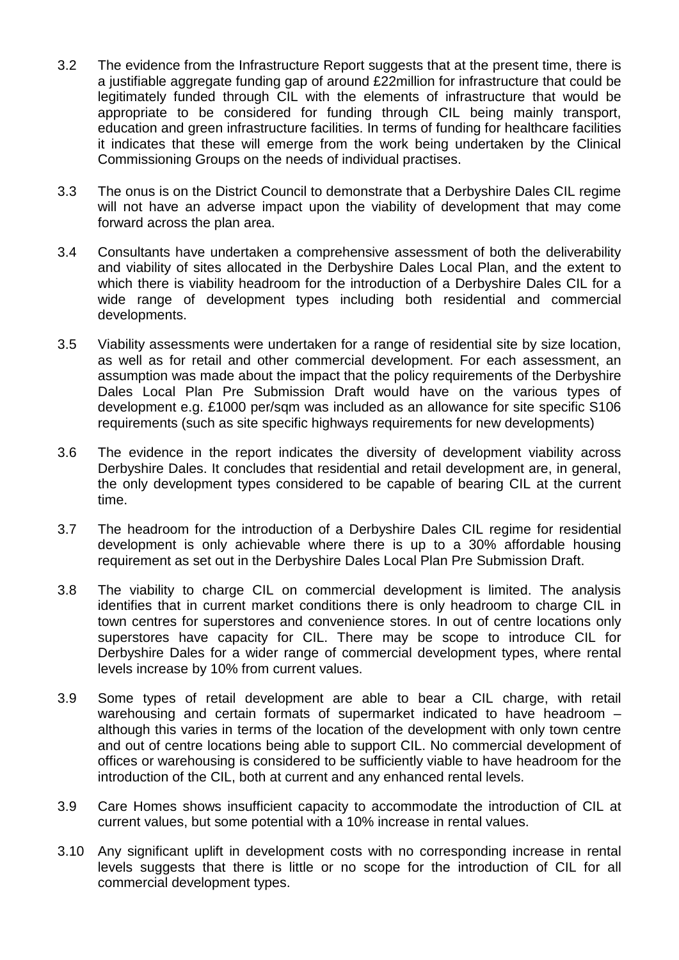- 3.2 The evidence from the Infrastructure Report suggests that at the present time, there is a justifiable aggregate funding gap of around £22million for infrastructure that could be legitimately funded through CIL with the elements of infrastructure that would be appropriate to be considered for funding through CIL being mainly transport, education and green infrastructure facilities. In terms of funding for healthcare facilities it indicates that these will emerge from the work being undertaken by the Clinical Commissioning Groups on the needs of individual practises.
- 3.3 The onus is on the District Council to demonstrate that a Derbyshire Dales CIL regime will not have an adverse impact upon the viability of development that may come forward across the plan area.
- 3.4 Consultants have undertaken a comprehensive assessment of both the deliverability and viability of sites allocated in the Derbyshire Dales Local Plan, and the extent to which there is viability headroom for the introduction of a Derbyshire Dales CIL for a wide range of development types including both residential and commercial developments.
- 3.5 Viability assessments were undertaken for a range of residential site by size location, as well as for retail and other commercial development. For each assessment, an assumption was made about the impact that the policy requirements of the Derbyshire Dales Local Plan Pre Submission Draft would have on the various types of development e.g. £1000 per/sqm was included as an allowance for site specific S106 requirements (such as site specific highways requirements for new developments)
- 3.6 The evidence in the report indicates the diversity of development viability across Derbyshire Dales. It concludes that residential and retail development are, in general, the only development types considered to be capable of bearing CIL at the current time.
- 3.7 The headroom for the introduction of a Derbyshire Dales CIL regime for residential development is only achievable where there is up to a 30% affordable housing requirement as set out in the Derbyshire Dales Local Plan Pre Submission Draft.
- 3.8 The viability to charge CIL on commercial development is limited. The analysis identifies that in current market conditions there is only headroom to charge CIL in town centres for superstores and convenience stores. In out of centre locations only superstores have capacity for CIL. There may be scope to introduce CIL for Derbyshire Dales for a wider range of commercial development types, where rental levels increase by 10% from current values.
- 3.9 Some types of retail development are able to bear a CIL charge, with retail warehousing and certain formats of supermarket indicated to have headroom – although this varies in terms of the location of the development with only town centre and out of centre locations being able to support CIL. No commercial development of offices or warehousing is considered to be sufficiently viable to have headroom for the introduction of the CIL, both at current and any enhanced rental levels.
- 3.9 Care Homes shows insufficient capacity to accommodate the introduction of CIL at current values, but some potential with a 10% increase in rental values.
- 3.10 Any significant uplift in development costs with no corresponding increase in rental levels suggests that there is little or no scope for the introduction of CIL for all commercial development types.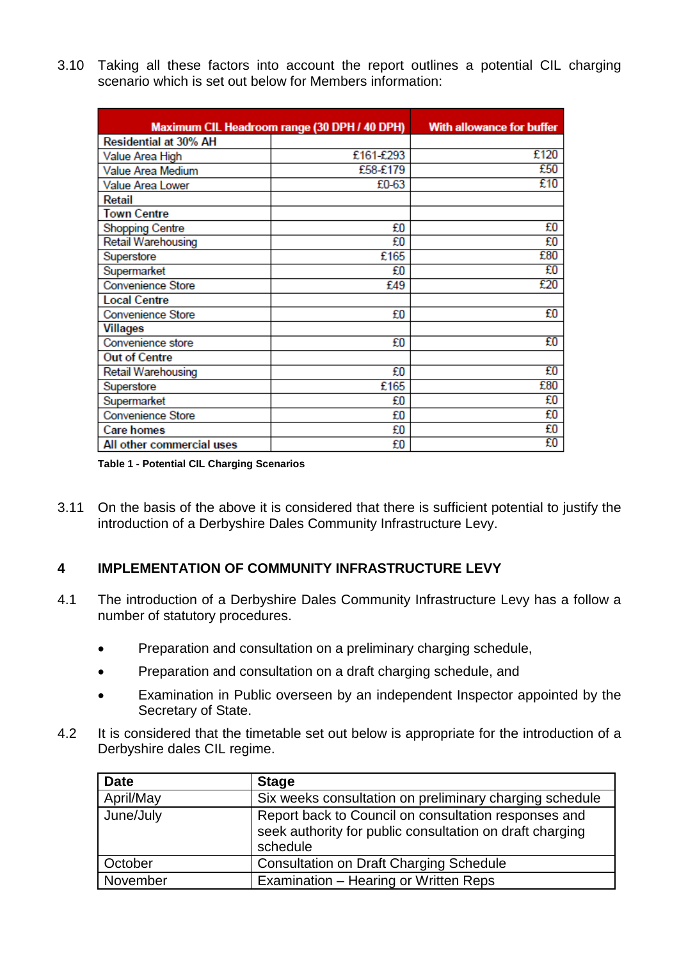3.10 Taking all these factors into account the report outlines a potential CIL charging scenario which is set out below for Members information:

| Maximum CIL Headroom range (30 DPH / 40 DPH) |           | <b>With allowance for buffer</b> |
|----------------------------------------------|-----------|----------------------------------|
| <b>Residential at 30% AH</b>                 |           |                                  |
| Value Area High                              | £161-£293 | £120                             |
| Value Area Medium                            | £58-£179  | £50                              |
| Value Area Lower                             | £0-63     | £10                              |
| Retail                                       |           |                                  |
| <b>Town Centre</b>                           |           |                                  |
| <b>Shopping Centre</b>                       | £O        | £0                               |
| Retail Warehousing                           | £O        | £O                               |
| Superstore                                   | £165      | £80                              |
| Supermarket                                  | £O        | £O                               |
| <b>Convenience Store</b>                     | £49       | £20                              |
| <b>Local Centre</b>                          |           |                                  |
| <b>Convenience Store</b>                     | £O        | £0                               |
| Villages                                     |           |                                  |
| Convenience store                            | £O        | £O                               |
| <b>Out of Centre</b>                         |           |                                  |
| Retail Warehousing                           | £0        | £0                               |
| Superstore                                   | £165      | £80                              |
| Supermarket                                  | £O        | £O                               |
| <b>Convenience Store</b>                     | £O        | £O                               |
| <b>Care homes</b>                            | £O        | £O                               |
| All other commercial uses                    | £O        | £O                               |

**Table 1 - Potential CIL Charging Scenarios**

3.11 On the basis of the above it is considered that there is sufficient potential to justify the introduction of a Derbyshire Dales Community Infrastructure Levy.

## **4 IMPLEMENTATION OF COMMUNITY INFRASTRUCTURE LEVY**

- 4.1 The introduction of a Derbyshire Dales Community Infrastructure Levy has a follow a number of statutory procedures.
	- Preparation and consultation on a preliminary charging schedule,
	- Preparation and consultation on a draft charging schedule, and
	- Examination in Public overseen by an independent Inspector appointed by the Secretary of State.
- 4.2 It is considered that the timetable set out below is appropriate for the introduction of a Derbyshire dales CIL regime.

| <b>Date</b> | <b>Stage</b>                                                                                                                 |
|-------------|------------------------------------------------------------------------------------------------------------------------------|
| April/May   | Six weeks consultation on preliminary charging schedule                                                                      |
| June/July   | Report back to Council on consultation responses and<br>seek authority for public consultation on draft charging<br>schedule |
| October     | <b>Consultation on Draft Charging Schedule</b>                                                                               |
| November    | Examination - Hearing or Written Reps                                                                                        |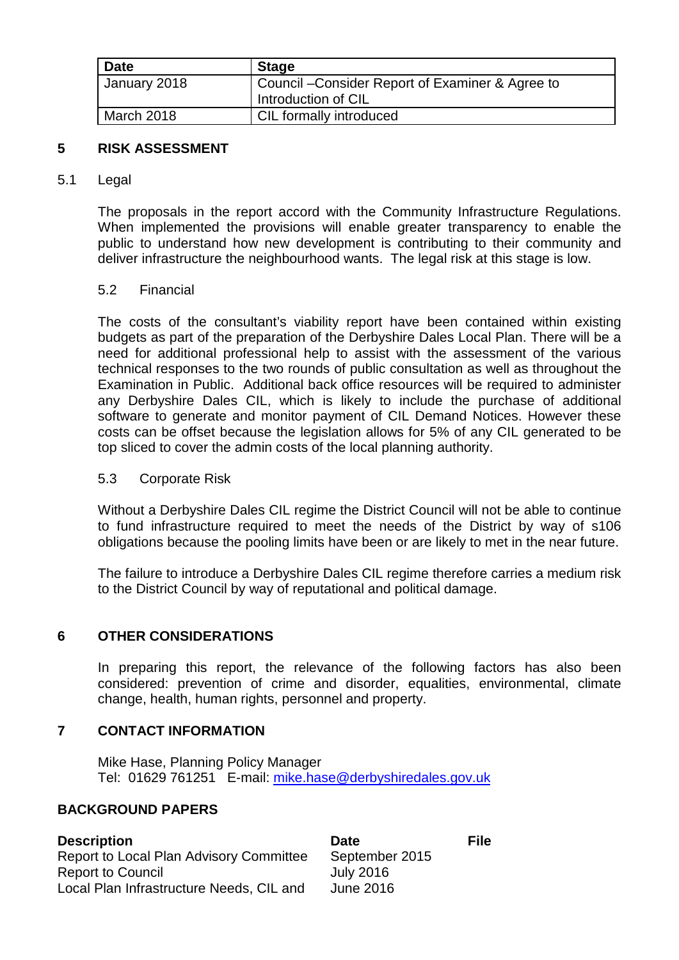| <b>Date</b>  | <b>Stage</b>                                     |
|--------------|--------------------------------------------------|
| January 2018 | Council - Consider Report of Examiner & Agree to |
|              | Introduction of CIL                              |
| March 2018   | CIL formally introduced                          |

## **5 RISK ASSESSMENT**

#### 5.1 Legal

The proposals in the report accord with the Community Infrastructure Regulations. When implemented the provisions will enable greater transparency to enable the public to understand how new development is contributing to their community and deliver infrastructure the neighbourhood wants. The legal risk at this stage is low.

#### 5.2 Financial

The costs of the consultant's viability report have been contained within existing budgets as part of the preparation of the Derbyshire Dales Local Plan. There will be a need for additional professional help to assist with the assessment of the various technical responses to the two rounds of public consultation as well as throughout the Examination in Public. Additional back office resources will be required to administer any Derbyshire Dales CIL, which is likely to include the purchase of additional software to generate and monitor payment of CIL Demand Notices. However these costs can be offset because the legislation allows for 5% of any CIL generated to be top sliced to cover the admin costs of the local planning authority.

#### 5.3 Corporate Risk

Without a Derbyshire Dales CIL regime the District Council will not be able to continue to fund infrastructure required to meet the needs of the District by way of s106 obligations because the pooling limits have been or are likely to met in the near future.

The failure to introduce a Derbyshire Dales CIL regime therefore carries a medium risk to the District Council by way of reputational and political damage.

#### **6 OTHER CONSIDERATIONS**

In preparing this report, the relevance of the following factors has also been considered: prevention of crime and disorder, equalities, environmental, climate change, health, human rights, personnel and property.

#### **7 CONTACT INFORMATION**

Mike Hase, Planning Policy Manager Tel: 01629 761251 E-mail: [mike.hase@derbyshiredales.gov.uk](mailto:mike.hase@derbyshiredales.gov.uk)

## **BACKGROUND PAPERS**

| <b>Description</b>                       | <b>Date</b>      | <b>File</b> |
|------------------------------------------|------------------|-------------|
| Report to Local Plan Advisory Committee  | September 2015   |             |
| <b>Report to Council</b>                 | <b>July 2016</b> |             |
| Local Plan Infrastructure Needs, CIL and | June 2016        |             |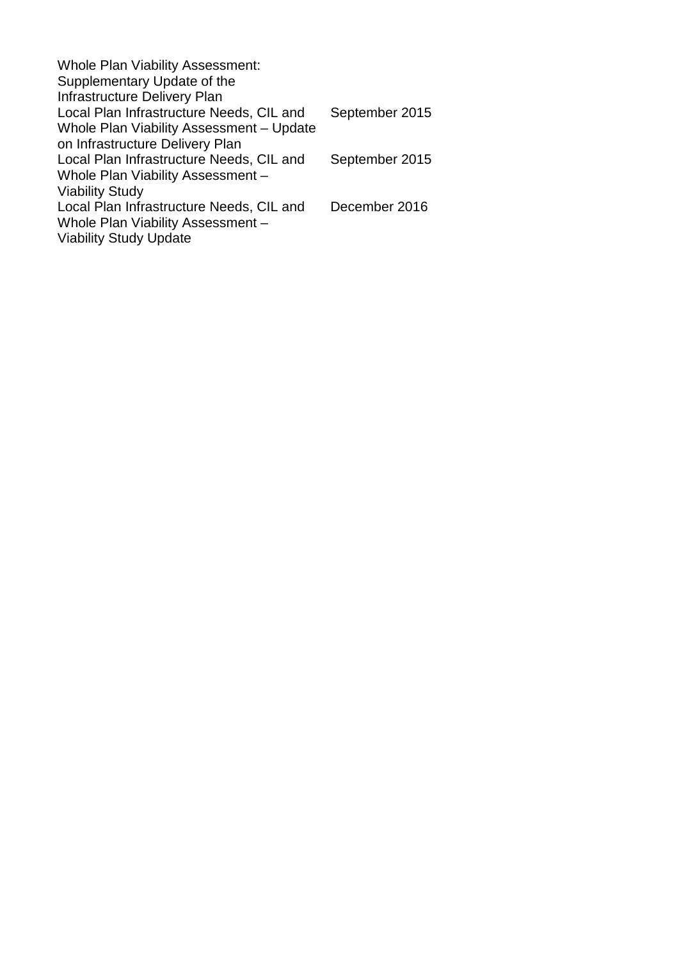| September 2015 |
|----------------|
|                |
|                |
| September 2015 |
|                |
|                |
| December 2016  |
|                |
|                |
|                |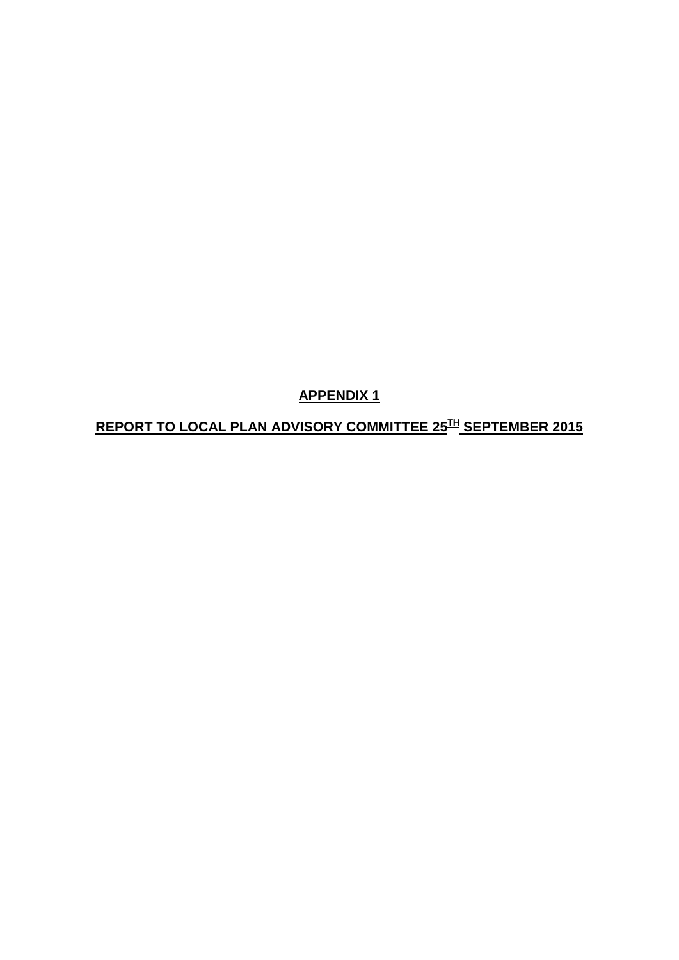**APPENDIX 1**

**REPORT TO LOCAL PLAN ADVISORY COMMITTEE 25TH SEPTEMBER 2015**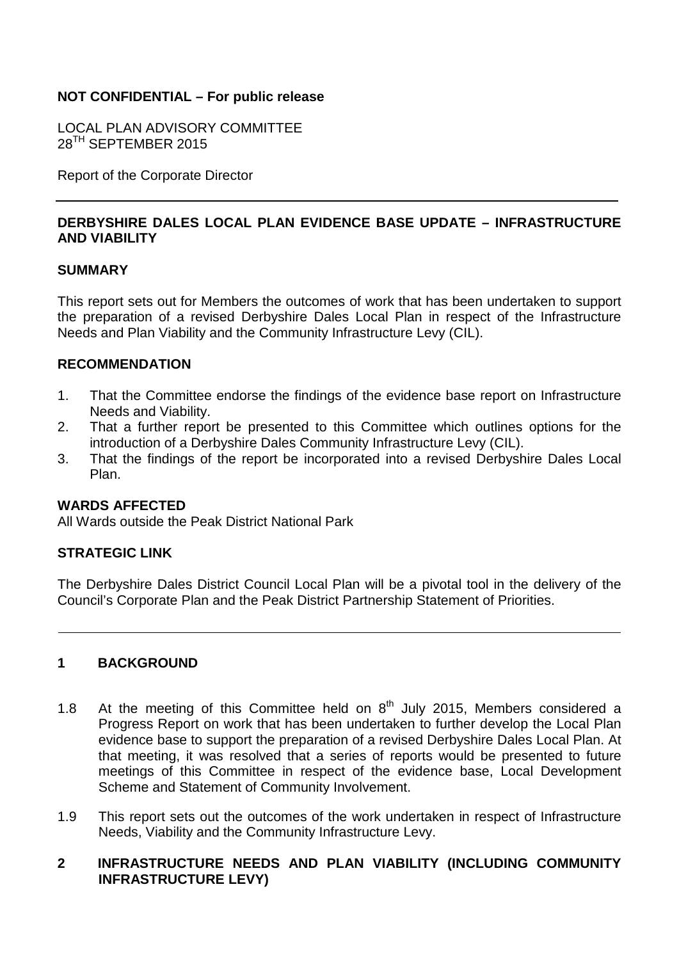## **NOT CONFIDENTIAL – For public release**

LOCAL PLAN ADVISORY COMMITTEE 28<sup>TH</sup> SEPTEMBER 2015

Report of the Corporate Director

## **DERBYSHIRE DALES LOCAL PLAN EVIDENCE BASE UPDATE – INFRASTRUCTURE AND VIABILITY**

#### **SUMMARY**

This report sets out for Members the outcomes of work that has been undertaken to support the preparation of a revised Derbyshire Dales Local Plan in respect of the Infrastructure Needs and Plan Viability and the Community Infrastructure Levy (CIL).

#### **RECOMMENDATION**

- 1. That the Committee endorse the findings of the evidence base report on Infrastructure Needs and Viability.
- 2. That a further report be presented to this Committee which outlines options for the introduction of a Derbyshire Dales Community Infrastructure Levy (CIL).
- 3. That the findings of the report be incorporated into a revised Derbyshire Dales Local Plan.

#### **WARDS AFFECTED**

All Wards outside the Peak District National Park

#### **STRATEGIC LINK**

The Derbyshire Dales District Council Local Plan will be a pivotal tool in the delivery of the Council's Corporate Plan and the Peak District Partnership Statement of Priorities.

#### **1 BACKGROUND**

- 1.8 At the meeting of this Committee held on  $8<sup>th</sup>$  July 2015, Members considered a Progress Report on work that has been undertaken to further develop the Local Plan evidence base to support the preparation of a revised Derbyshire Dales Local Plan. At that meeting, it was resolved that a series of reports would be presented to future meetings of this Committee in respect of the evidence base, Local Development Scheme and Statement of Community Involvement.
- 1.9 This report sets out the outcomes of the work undertaken in respect of Infrastructure Needs, Viability and the Community Infrastructure Levy.

#### **2 INFRASTRUCTURE NEEDS AND PLAN VIABILITY (INCLUDING COMMUNITY INFRASTRUCTURE LEVY)**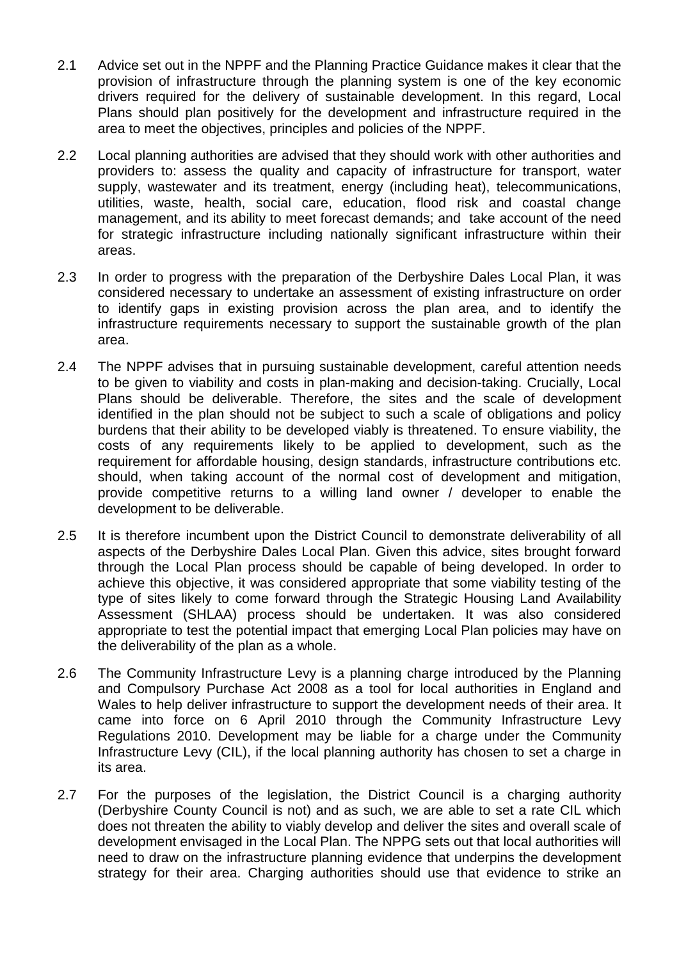- 2.1 Advice set out in the NPPF and the Planning Practice Guidance makes it clear that the provision of infrastructure through the planning system is one of the key economic drivers required for the delivery of sustainable development. In this regard, Local Plans should plan positively for the development and infrastructure required in the area to meet the objectives, principles and policies of the NPPF.
- 2.2 Local planning authorities are advised that they should work with other authorities and providers to: assess the quality and capacity of infrastructure for transport, water supply, wastewater and its treatment, energy (including heat), telecommunications, utilities, waste, health, social care, education, flood risk and coastal change management, and its ability to meet forecast demands; and take account of the need for strategic infrastructure including nationally significant infrastructure within their areas.
- 2.3 In order to progress with the preparation of the Derbyshire Dales Local Plan, it was considered necessary to undertake an assessment of existing infrastructure on order to identify gaps in existing provision across the plan area, and to identify the infrastructure requirements necessary to support the sustainable growth of the plan area.
- 2.4 The NPPF advises that in pursuing sustainable development, careful attention needs to be given to viability and costs in plan-making and decision-taking. Crucially, Local Plans should be deliverable. Therefore, the sites and the scale of development identified in the plan should not be subject to such a scale of obligations and policy burdens that their ability to be developed viably is threatened. To ensure viability, the costs of any requirements likely to be applied to development, such as the requirement for affordable housing, design standards, infrastructure contributions etc. should, when taking account of the normal cost of development and mitigation, provide competitive returns to a willing land owner / developer to enable the development to be deliverable.
- 2.5 It is therefore incumbent upon the District Council to demonstrate deliverability of all aspects of the Derbyshire Dales Local Plan. Given this advice, sites brought forward through the Local Plan process should be capable of being developed. In order to achieve this objective, it was considered appropriate that some viability testing of the type of sites likely to come forward through the Strategic Housing Land Availability Assessment (SHLAA) process should be undertaken. It was also considered appropriate to test the potential impact that emerging Local Plan policies may have on the deliverability of the plan as a whole.
- 2.6 The Community Infrastructure Levy is a planning charge introduced by the Planning and Compulsory Purchase Act 2008 as a tool for local authorities in England and Wales to help deliver infrastructure to support the development needs of their area. It came into force on 6 April 2010 through the Community Infrastructure Levy Regulations 2010. Development may be liable for a charge under the Community Infrastructure Levy (CIL), if the local planning authority has chosen to set a charge in its area.
- 2.7 For the purposes of the legislation, the District Council is a charging authority (Derbyshire County Council is not) and as such, we are able to set a rate CIL which does not threaten the ability to viably develop and deliver the sites and overall scale of development envisaged in the Local Plan. The NPPG sets out that local authorities will need to draw on the infrastructure planning evidence that underpins the development strategy for their area. Charging authorities should use that evidence to strike an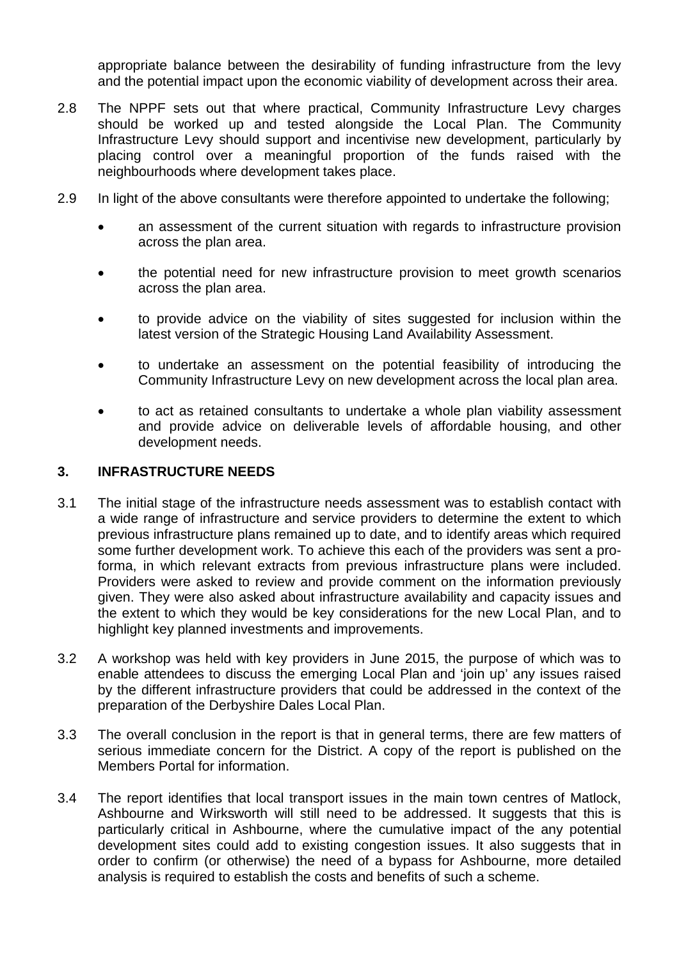appropriate balance between the desirability of funding infrastructure from the levy and the potential impact upon the economic viability of development across their area.

- 2.8 The NPPF sets out that where practical, Community Infrastructure Levy charges should be worked up and tested alongside the Local Plan. The Community Infrastructure Levy should support and incentivise new development, particularly by placing control over a meaningful proportion of the funds raised with the neighbourhoods where development takes place.
- 2.9 In light of the above consultants were therefore appointed to undertake the following;
	- an assessment of the current situation with regards to infrastructure provision across the plan area.
	- the potential need for new infrastructure provision to meet growth scenarios across the plan area.
	- to provide advice on the viability of sites suggested for inclusion within the latest version of the Strategic Housing Land Availability Assessment.
	- to undertake an assessment on the potential feasibility of introducing the Community Infrastructure Levy on new development across the local plan area.
	- to act as retained consultants to undertake a whole plan viability assessment and provide advice on deliverable levels of affordable housing, and other development needs.

#### **3. INFRASTRUCTURE NEEDS**

- 3.1 The initial stage of the infrastructure needs assessment was to establish contact with a wide range of infrastructure and service providers to determine the extent to which previous infrastructure plans remained up to date, and to identify areas which required some further development work. To achieve this each of the providers was sent a proforma, in which relevant extracts from previous infrastructure plans were included. Providers were asked to review and provide comment on the information previously given. They were also asked about infrastructure availability and capacity issues and the extent to which they would be key considerations for the new Local Plan, and to highlight key planned investments and improvements.
- 3.2 A workshop was held with key providers in June 2015, the purpose of which was to enable attendees to discuss the emerging Local Plan and 'join up' any issues raised by the different infrastructure providers that could be addressed in the context of the preparation of the Derbyshire Dales Local Plan.
- 3.3 The overall conclusion in the report is that in general terms, there are few matters of serious immediate concern for the District. A copy of the report is published on the Members Portal for information.
- 3.4 The report identifies that local transport issues in the main town centres of Matlock, Ashbourne and Wirksworth will still need to be addressed. It suggests that this is particularly critical in Ashbourne, where the cumulative impact of the any potential development sites could add to existing congestion issues. It also suggests that in order to confirm (or otherwise) the need of a bypass for Ashbourne, more detailed analysis is required to establish the costs and benefits of such a scheme.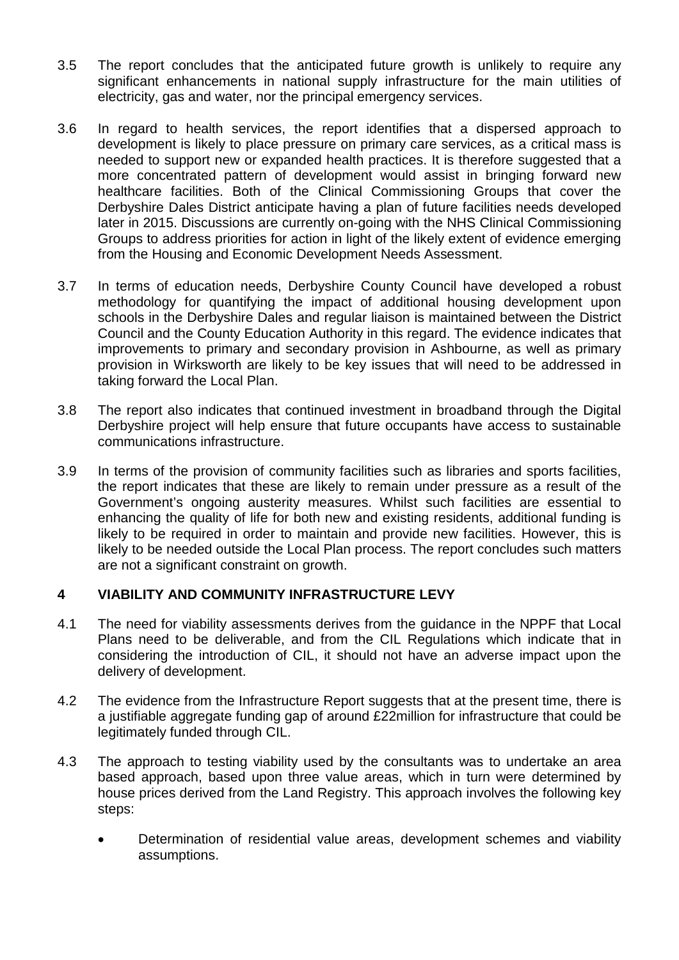- 3.5 The report concludes that the anticipated future growth is unlikely to require any significant enhancements in national supply infrastructure for the main utilities of electricity, gas and water, nor the principal emergency services.
- 3.6 In regard to health services, the report identifies that a dispersed approach to development is likely to place pressure on primary care services, as a critical mass is needed to support new or expanded health practices. It is therefore suggested that a more concentrated pattern of development would assist in bringing forward new healthcare facilities. Both of the Clinical Commissioning Groups that cover the Derbyshire Dales District anticipate having a plan of future facilities needs developed later in 2015. Discussions are currently on-going with the NHS Clinical Commissioning Groups to address priorities for action in light of the likely extent of evidence emerging from the Housing and Economic Development Needs Assessment.
- 3.7 In terms of education needs, Derbyshire County Council have developed a robust methodology for quantifying the impact of additional housing development upon schools in the Derbyshire Dales and regular liaison is maintained between the District Council and the County Education Authority in this regard. The evidence indicates that improvements to primary and secondary provision in Ashbourne, as well as primary provision in Wirksworth are likely to be key issues that will need to be addressed in taking forward the Local Plan.
- 3.8 The report also indicates that continued investment in broadband through the Digital Derbyshire project will help ensure that future occupants have access to sustainable communications infrastructure.
- 3.9 In terms of the provision of community facilities such as libraries and sports facilities, the report indicates that these are likely to remain under pressure as a result of the Government's ongoing austerity measures. Whilst such facilities are essential to enhancing the quality of life for both new and existing residents, additional funding is likely to be required in order to maintain and provide new facilities. However, this is likely to be needed outside the Local Plan process. The report concludes such matters are not a significant constraint on growth.

## **4 VIABILITY AND COMMUNITY INFRASTRUCTURE LEVY**

- 4.1 The need for viability assessments derives from the guidance in the NPPF that Local Plans need to be deliverable, and from the CIL Regulations which indicate that in considering the introduction of CIL, it should not have an adverse impact upon the delivery of development.
- 4.2 The evidence from the Infrastructure Report suggests that at the present time, there is a justifiable aggregate funding gap of around £22million for infrastructure that could be legitimately funded through CIL.
- 4.3 The approach to testing viability used by the consultants was to undertake an area based approach, based upon three value areas, which in turn were determined by house prices derived from the Land Registry. This approach involves the following key steps:
	- Determination of residential value areas, development schemes and viability assumptions.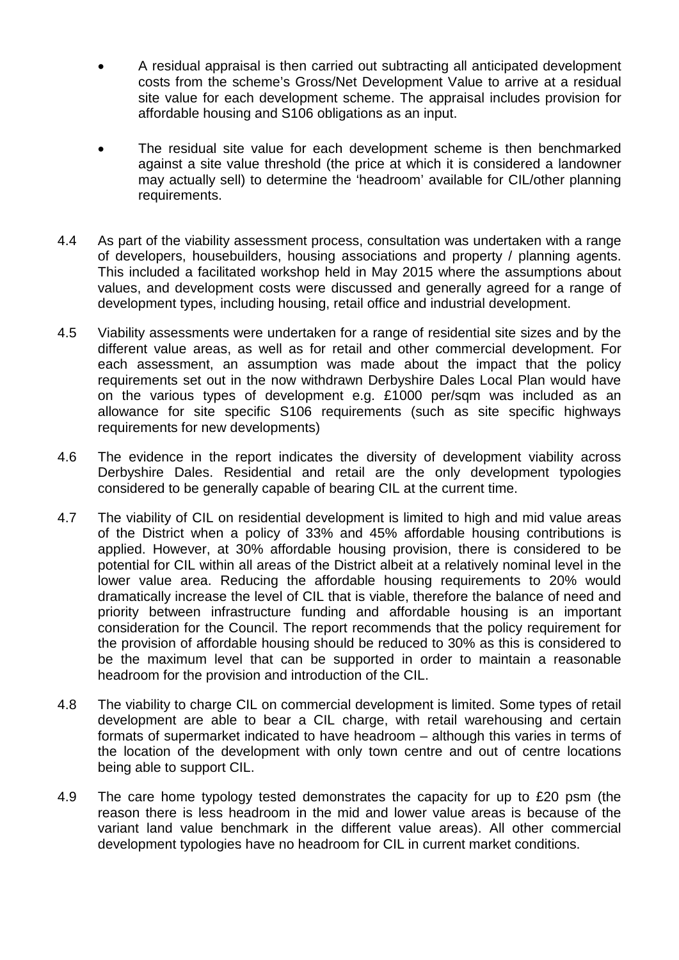- A residual appraisal is then carried out subtracting all anticipated development costs from the scheme's Gross/Net Development Value to arrive at a residual site value for each development scheme. The appraisal includes provision for affordable housing and S106 obligations as an input.
- The residual site value for each development scheme is then benchmarked against a site value threshold (the price at which it is considered a landowner may actually sell) to determine the 'headroom' available for CIL/other planning requirements.
- 4.4 As part of the viability assessment process, consultation was undertaken with a range of developers, housebuilders, housing associations and property / planning agents. This included a facilitated workshop held in May 2015 where the assumptions about values, and development costs were discussed and generally agreed for a range of development types, including housing, retail office and industrial development.
- 4.5 Viability assessments were undertaken for a range of residential site sizes and by the different value areas, as well as for retail and other commercial development. For each assessment, an assumption was made about the impact that the policy requirements set out in the now withdrawn Derbyshire Dales Local Plan would have on the various types of development e.g. £1000 per/sqm was included as an allowance for site specific S106 requirements (such as site specific highways requirements for new developments)
- 4.6 The evidence in the report indicates the diversity of development viability across Derbyshire Dales. Residential and retail are the only development typologies considered to be generally capable of bearing CIL at the current time.
- 4.7 The viability of CIL on residential development is limited to high and mid value areas of the District when a policy of 33% and 45% affordable housing contributions is applied. However, at 30% affordable housing provision, there is considered to be potential for CIL within all areas of the District albeit at a relatively nominal level in the lower value area. Reducing the affordable housing requirements to 20% would dramatically increase the level of CIL that is viable, therefore the balance of need and priority between infrastructure funding and affordable housing is an important consideration for the Council. The report recommends that the policy requirement for the provision of affordable housing should be reduced to 30% as this is considered to be the maximum level that can be supported in order to maintain a reasonable headroom for the provision and introduction of the CIL.
- 4.8 The viability to charge CIL on commercial development is limited. Some types of retail development are able to bear a CIL charge, with retail warehousing and certain formats of supermarket indicated to have headroom – although this varies in terms of the location of the development with only town centre and out of centre locations being able to support CIL.
- 4.9 The care home typology tested demonstrates the capacity for up to £20 psm (the reason there is less headroom in the mid and lower value areas is because of the variant land value benchmark in the different value areas). All other commercial development typologies have no headroom for CIL in current market conditions.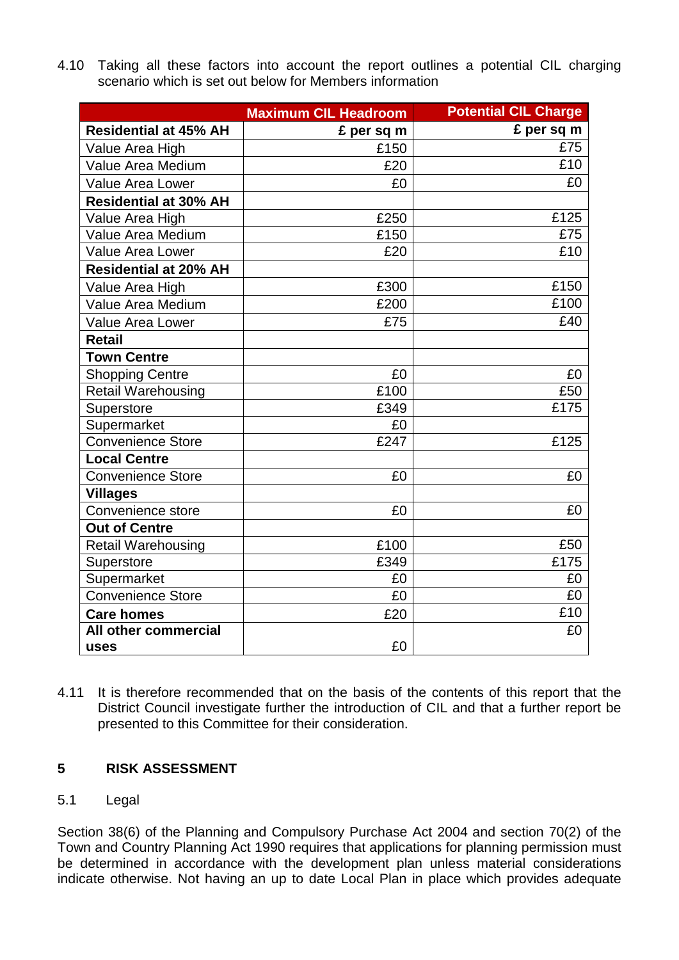4.10 Taking all these factors into account the report outlines a potential CIL charging scenario which is set out below for Members information

|                              | <b>Maximum CIL Headroom</b> | <b>Potential CIL Charge</b> |
|------------------------------|-----------------------------|-----------------------------|
| <b>Residential at 45% AH</b> | £ per sq m                  | £ per sq m                  |
| Value Area High              | £150                        | £75                         |
| Value Area Medium            | £20                         | £10                         |
| <b>Value Area Lower</b>      | £0                          | £0                          |
| <b>Residential at 30% AH</b> |                             |                             |
| Value Area High              | £250                        | £125                        |
| Value Area Medium            | £150                        | £75                         |
| <b>Value Area Lower</b>      | £20                         | £10                         |
| <b>Residential at 20% AH</b> |                             |                             |
| Value Area High              | £300                        | £150                        |
| Value Area Medium            | £200                        | £100                        |
| <b>Value Area Lower</b>      | £75                         | £40                         |
| <b>Retail</b>                |                             |                             |
| <b>Town Centre</b>           |                             |                             |
| <b>Shopping Centre</b>       | £0                          | £0                          |
| <b>Retail Warehousing</b>    | £100                        | £50                         |
| Superstore                   | £349                        | £175                        |
| Supermarket                  | £0                          |                             |
| <b>Convenience Store</b>     | £247                        | £125                        |
| <b>Local Centre</b>          |                             |                             |
| <b>Convenience Store</b>     | £0                          | £0                          |
| <b>Villages</b>              |                             |                             |
| Convenience store            | £0                          | £0                          |
| <b>Out of Centre</b>         |                             |                             |
| <b>Retail Warehousing</b>    | £100                        | £50                         |
| Superstore                   | £349                        | £175                        |
| Supermarket                  | £0                          | £0                          |
| <b>Convenience Store</b>     | £0                          | £0                          |
| <b>Care homes</b>            | £20                         | £10                         |
| All other commercial         |                             | £0                          |
| uses                         | £0                          |                             |

4.11 It is therefore recommended that on the basis of the contents of this report that the District Council investigate further the introduction of CIL and that a further report be presented to this Committee for their consideration.

## **5 RISK ASSESSMENT**

## 5.1 Legal

Section 38(6) of the Planning and Compulsory Purchase Act 2004 and section 70(2) of the Town and Country Planning Act 1990 requires that applications for planning permission must be determined in accordance with the development plan unless material considerations indicate otherwise. Not having an up to date Local Plan in place which provides adequate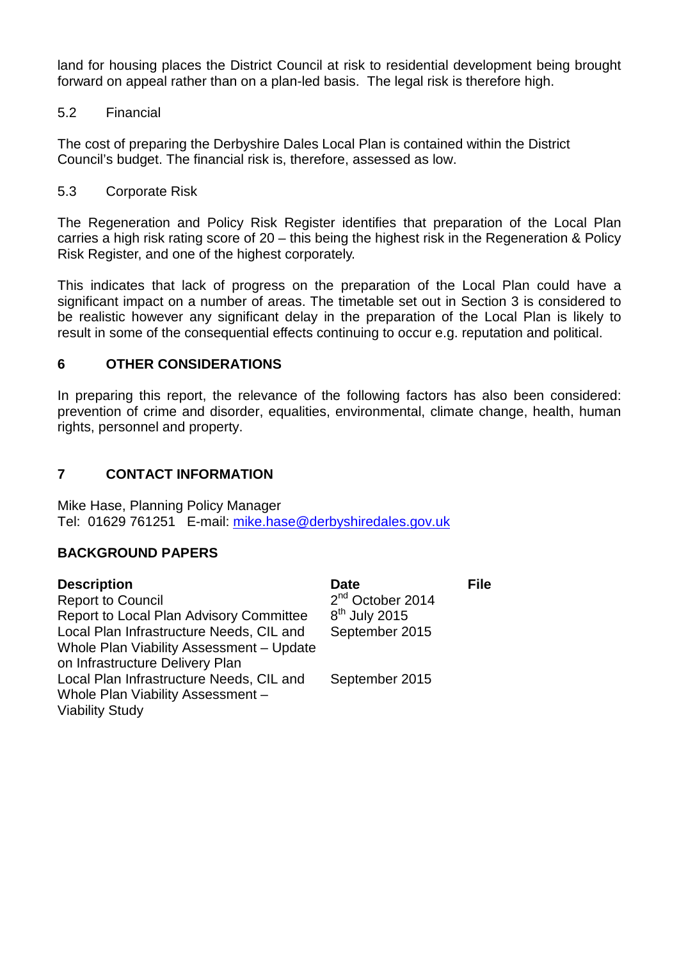land for housing places the District Council at risk to residential development being brought forward on appeal rather than on a plan-led basis. The legal risk is therefore high.

## 5.2 Financial

The cost of preparing the Derbyshire Dales Local Plan is contained within the District Council's budget. The financial risk is, therefore, assessed as low.

## 5.3 Corporate Risk

The Regeneration and Policy Risk Register identifies that preparation of the Local Plan carries a high risk rating score of 20 – this being the highest risk in the Regeneration & Policy Risk Register, and one of the highest corporately.

This indicates that lack of progress on the preparation of the Local Plan could have a significant impact on a number of areas. The timetable set out in Section 3 is considered to be realistic however any significant delay in the preparation of the Local Plan is likely to result in some of the consequential effects continuing to occur e.g. reputation and political.

## **6 OTHER CONSIDERATIONS**

In preparing this report, the relevance of the following factors has also been considered: prevention of crime and disorder, equalities, environmental, climate change, health, human rights, personnel and property.

## **7 CONTACT INFORMATION**

Mike Hase, Planning Policy Manager Tel: 01629 761251 E-mail: [mike.hase@derbyshiredales.gov.uk](mailto:mike.hase@derbyshiredales.gov.uk)

## **BACKGROUND PAPERS**

| <b>Description</b>                       | <b>Date</b>                  | <b>File</b> |
|------------------------------------------|------------------------------|-------------|
| <b>Report to Council</b>                 | 2 <sup>nd</sup> October 2014 |             |
| Report to Local Plan Advisory Committee  | $8th$ July 2015              |             |
| Local Plan Infrastructure Needs, CIL and | September 2015               |             |
| Whole Plan Viability Assessment - Update |                              |             |
| on Infrastructure Delivery Plan          |                              |             |
| Local Plan Infrastructure Needs, CIL and | September 2015               |             |
| Whole Plan Viability Assessment -        |                              |             |
| <b>Viability Study</b>                   |                              |             |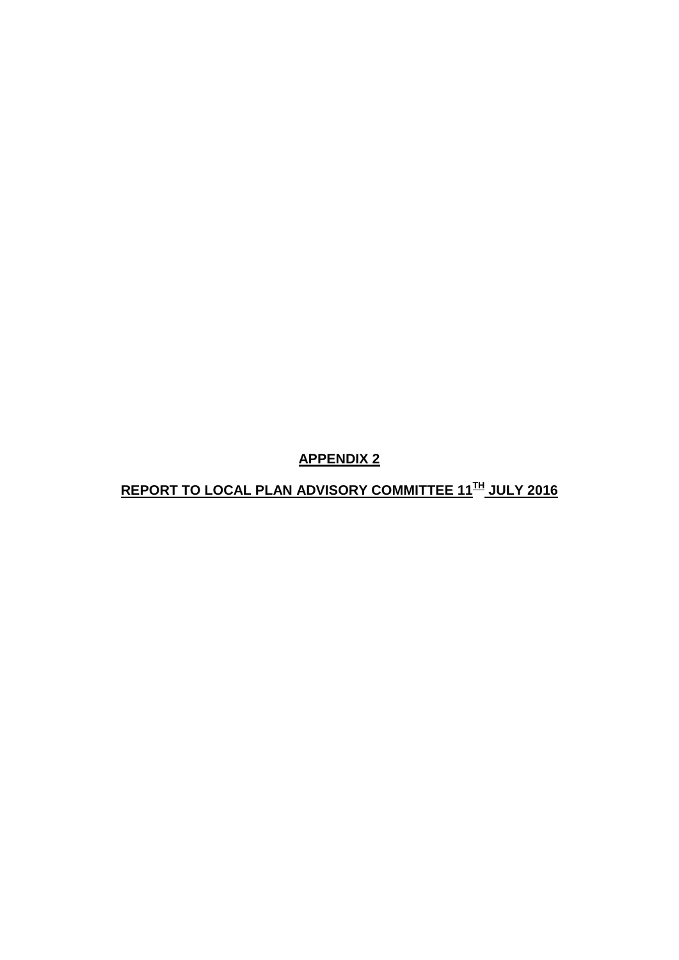**APPENDIX 2**

**REPORT TO LOCAL PLAN ADVISORY COMMITTEE 11TH JULY 2016**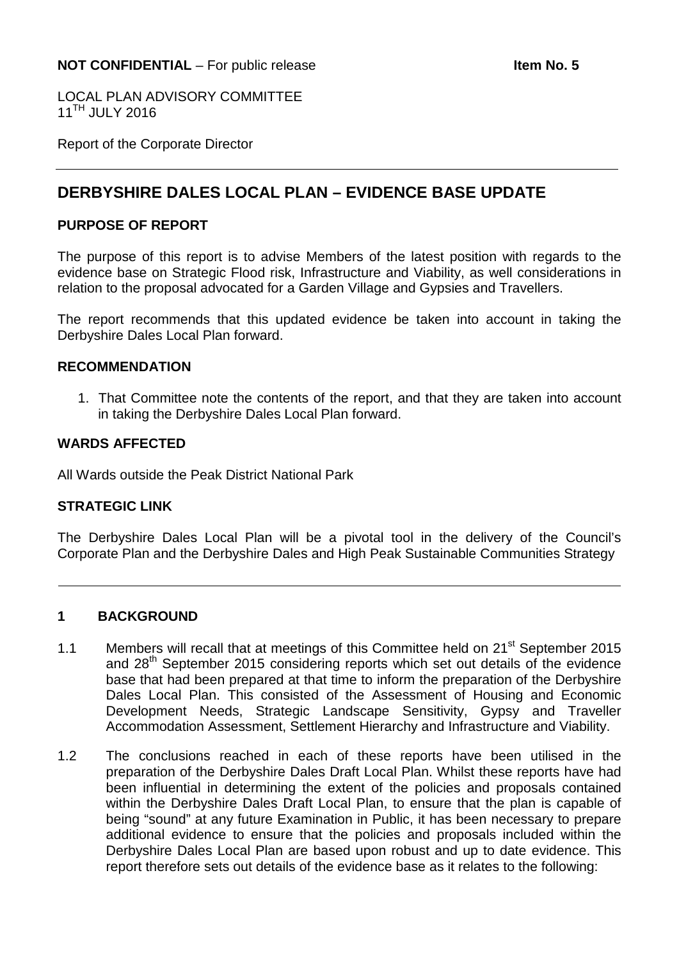LOCAL PLAN ADVISORY COMMITTEE  $11^{TH}$  JULY 2016

Report of the Corporate Director

# **DERBYSHIRE DALES LOCAL PLAN – EVIDENCE BASE UPDATE**

#### **PURPOSE OF REPORT**

The purpose of this report is to advise Members of the latest position with regards to the evidence base on Strategic Flood risk, Infrastructure and Viability, as well considerations in relation to the proposal advocated for a Garden Village and Gypsies and Travellers.

The report recommends that this updated evidence be taken into account in taking the Derbyshire Dales Local Plan forward.

#### **RECOMMENDATION**

1. That Committee note the contents of the report, and that they are taken into account in taking the Derbyshire Dales Local Plan forward.

#### **WARDS AFFECTED**

All Wards outside the Peak District National Park

#### **STRATEGIC LINK**

The Derbyshire Dales Local Plan will be a pivotal tool in the delivery of the Council's Corporate Plan and the Derbyshire Dales and High Peak Sustainable Communities Strategy

#### **1 BACKGROUND**

- 1.1 Members will recall that at meetings of this Committee held on 21<sup>st</sup> September 2015 and 28<sup>th</sup> September 2015 considering reports which set out details of the evidence base that had been prepared at that time to inform the preparation of the Derbyshire Dales Local Plan. This consisted of the Assessment of Housing and Economic Development Needs, Strategic Landscape Sensitivity, Gypsy and Traveller Accommodation Assessment, Settlement Hierarchy and Infrastructure and Viability.
- 1.2 The conclusions reached in each of these reports have been utilised in the preparation of the Derbyshire Dales Draft Local Plan. Whilst these reports have had been influential in determining the extent of the policies and proposals contained within the Derbyshire Dales Draft Local Plan, to ensure that the plan is capable of being "sound" at any future Examination in Public, it has been necessary to prepare additional evidence to ensure that the policies and proposals included within the Derbyshire Dales Local Plan are based upon robust and up to date evidence. This report therefore sets out details of the evidence base as it relates to the following: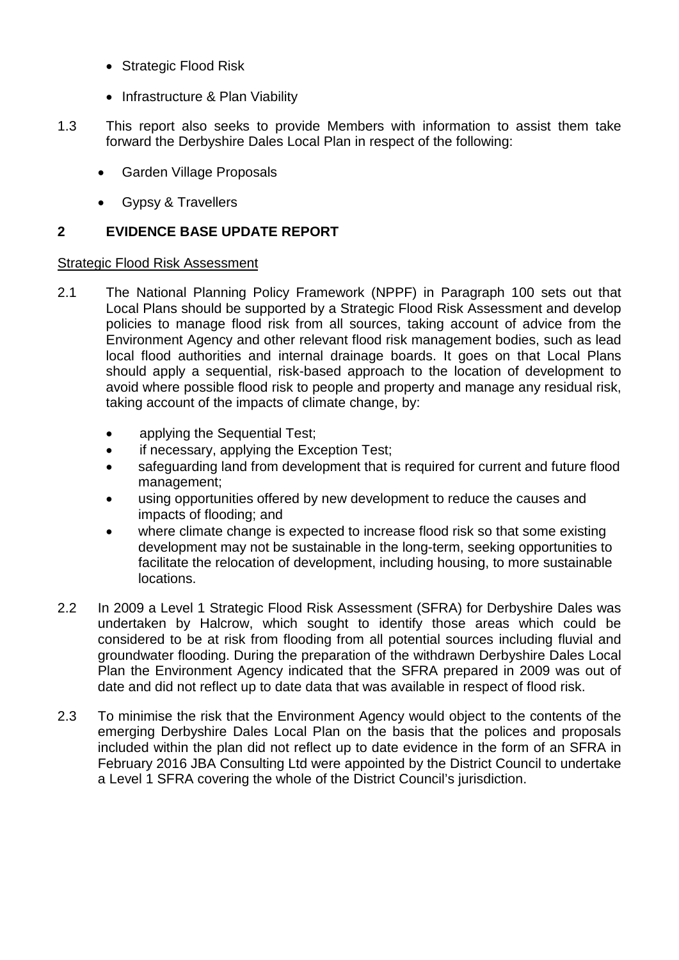- Strategic Flood Risk
- Infrastructure & Plan Viability
- 1.3 This report also seeks to provide Members with information to assist them take forward the Derbyshire Dales Local Plan in respect of the following:
	- Garden Village Proposals
	- Gypsy & Travellers

## **2 EVIDENCE BASE UPDATE REPORT**

#### Strategic Flood Risk Assessment

- 2.1 The National Planning Policy Framework (NPPF) in Paragraph 100 sets out that Local Plans should be supported by a Strategic Flood Risk Assessment and develop policies to manage flood risk from all sources, taking account of advice from the Environment Agency and other relevant flood risk management bodies, such as lead local flood authorities and internal drainage boards. It goes on that Local Plans should apply a sequential, risk-based approach to the location of development to avoid where possible flood risk to people and property and manage any residual risk, taking account of the impacts of climate change, by:
	- applying the Sequential Test:
	- if necessary, applying the Exception Test;
	- safeguarding land from development that is required for current and future flood management;
	- using opportunities offered by new development to reduce the causes and impacts of flooding; and
	- where climate change is expected to increase flood risk so that some existing development may not be sustainable in the long-term, seeking opportunities to facilitate the relocation of development, including housing, to more sustainable locations.
- 2.2 In 2009 a Level 1 Strategic Flood Risk Assessment (SFRA) for Derbyshire Dales was undertaken by Halcrow, which sought to identify those areas which could be considered to be at risk from flooding from all potential sources including fluvial and groundwater flooding. During the preparation of the withdrawn Derbyshire Dales Local Plan the Environment Agency indicated that the SFRA prepared in 2009 was out of date and did not reflect up to date data that was available in respect of flood risk.
- 2.3 To minimise the risk that the Environment Agency would object to the contents of the emerging Derbyshire Dales Local Plan on the basis that the polices and proposals included within the plan did not reflect up to date evidence in the form of an SFRA in February 2016 JBA Consulting Ltd were appointed by the District Council to undertake a Level 1 SFRA covering the whole of the District Council's jurisdiction.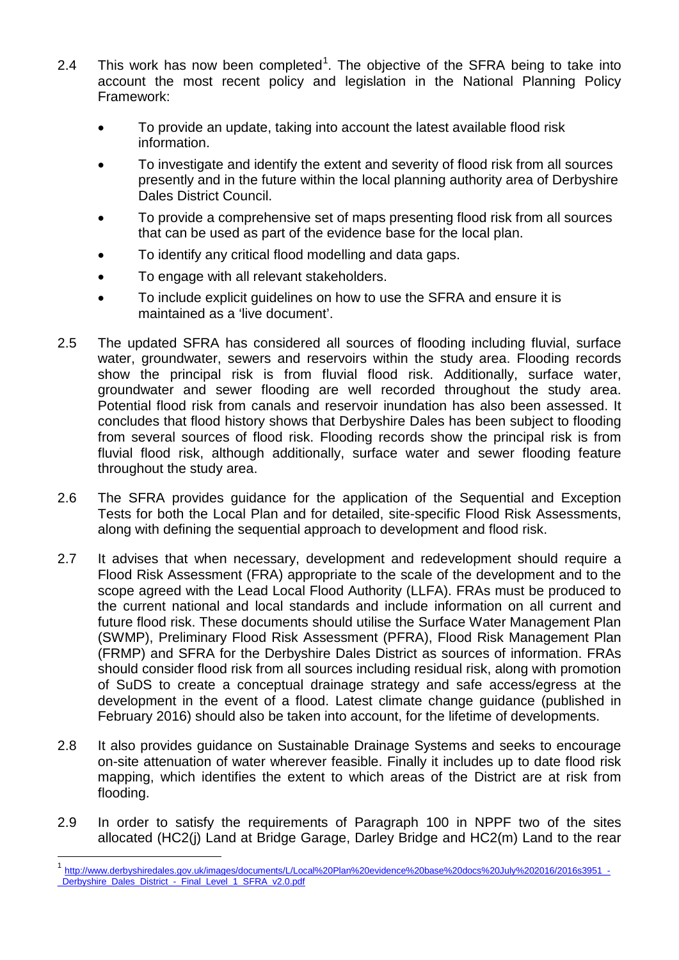- 2.4 This work has now been completed<sup>[1](#page-18-0)</sup>. The objective of the SFRA being to take into account the most recent policy and legislation in the National Planning Policy Framework:
	- To provide an update, taking into account the latest available flood risk information.
	- To investigate and identify the extent and severity of flood risk from all sources presently and in the future within the local planning authority area of Derbyshire Dales District Council.
	- To provide a comprehensive set of maps presenting flood risk from all sources that can be used as part of the evidence base for the local plan.
	- To identify any critical flood modelling and data gaps.
	- To engage with all relevant stakeholders.
	- To include explicit guidelines on how to use the SFRA and ensure it is maintained as a 'live document'.
- 2.5 The updated SFRA has considered all sources of flooding including fluvial, surface water, groundwater, sewers and reservoirs within the study area. Flooding records show the principal risk is from fluvial flood risk. Additionally, surface water, groundwater and sewer flooding are well recorded throughout the study area. Potential flood risk from canals and reservoir inundation has also been assessed. It concludes that flood history shows that Derbyshire Dales has been subject to flooding from several sources of flood risk. Flooding records show the principal risk is from fluvial flood risk, although additionally, surface water and sewer flooding feature throughout the study area.
- 2.6 The SFRA provides guidance for the application of the Sequential and Exception Tests for both the Local Plan and for detailed, site-specific Flood Risk Assessments, along with defining the sequential approach to development and flood risk.
- 2.7 It advises that when necessary, development and redevelopment should require a Flood Risk Assessment (FRA) appropriate to the scale of the development and to the scope agreed with the Lead Local Flood Authority (LLFA). FRAs must be produced to the current national and local standards and include information on all current and future flood risk. These documents should utilise the Surface Water Management Plan (SWMP), Preliminary Flood Risk Assessment (PFRA), Flood Risk Management Plan (FRMP) and SFRA for the Derbyshire Dales District as sources of information. FRAs should consider flood risk from all sources including residual risk, along with promotion of SuDS to create a conceptual drainage strategy and safe access/egress at the development in the event of a flood. Latest climate change guidance (published in February 2016) should also be taken into account, for the lifetime of developments.
- 2.8 It also provides guidance on Sustainable Drainage Systems and seeks to encourage on-site attenuation of water wherever feasible. Finally it includes up to date flood risk mapping, which identifies the extent to which areas of the District are at risk from flooding.
- 2.9 In order to satisfy the requirements of Paragraph 100 in NPPF two of the sites allocated (HC2(j) Land at Bridge Garage, Darley Bridge and HC2(m) Land to the rear

<span id="page-18-0"></span>http://www.derbyshiredales.gov.uk/images/documents/L/Local%20Plan%20evidence%20base%20docs%20July%202016/2016s3951 Derbyshire\_Dales\_District -\_Final\_Level\_1\_SFRA\_v2.0.pdf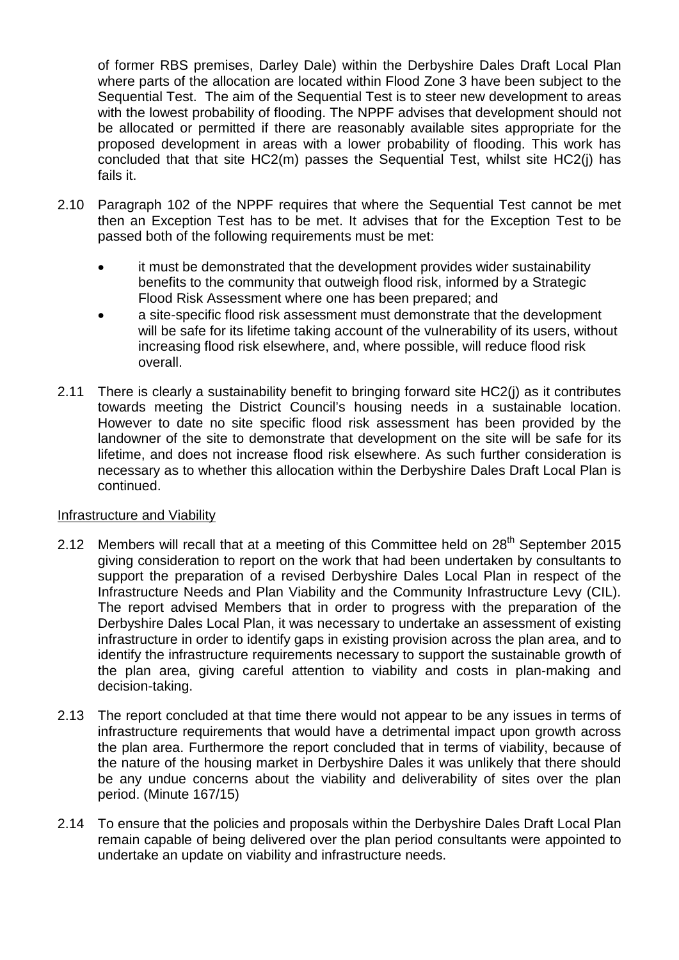of former RBS premises, Darley Dale) within the Derbyshire Dales Draft Local Plan where parts of the allocation are located within Flood Zone 3 have been subject to the Sequential Test. The aim of the Sequential Test is to steer new development to areas with the lowest probability of flooding. The NPPF advises that development should not be allocated or permitted if there are reasonably available sites appropriate for the proposed development in areas with a lower probability of flooding. This work has concluded that that site HC2(m) passes the Sequential Test, whilst site HC2(j) has fails it.

- 2.10 Paragraph 102 of the NPPF requires that where the Sequential Test cannot be met then an Exception Test has to be met. It advises that for the Exception Test to be passed both of the following requirements must be met:
	- it must be demonstrated that the development provides wider sustainability benefits to the community that outweigh flood risk, informed by a Strategic Flood Risk Assessment where one has been prepared; and
	- a site-specific flood risk assessment must demonstrate that the development will be safe for its lifetime taking account of the vulnerability of its users, without increasing flood risk elsewhere, and, where possible, will reduce flood risk overall.
- 2.11 There is clearly a sustainability benefit to bringing forward site HC2(j) as it contributes towards meeting the District Council's housing needs in a sustainable location. However to date no site specific flood risk assessment has been provided by the landowner of the site to demonstrate that development on the site will be safe for its lifetime, and does not increase flood risk elsewhere. As such further consideration is necessary as to whether this allocation within the Derbyshire Dales Draft Local Plan is continued.

#### Infrastructure and Viability

- 2.12 Members will recall that at a meeting of this Committee held on 28<sup>th</sup> September 2015 giving consideration to report on the work that had been undertaken by consultants to support the preparation of a revised Derbyshire Dales Local Plan in respect of the Infrastructure Needs and Plan Viability and the Community Infrastructure Levy (CIL). The report advised Members that in order to progress with the preparation of the Derbyshire Dales Local Plan, it was necessary to undertake an assessment of existing infrastructure in order to identify gaps in existing provision across the plan area, and to identify the infrastructure requirements necessary to support the sustainable growth of the plan area, giving careful attention to viability and costs in plan-making and decision-taking.
- 2.13 The report concluded at that time there would not appear to be any issues in terms of infrastructure requirements that would have a detrimental impact upon growth across the plan area. Furthermore the report concluded that in terms of viability, because of the nature of the housing market in Derbyshire Dales it was unlikely that there should be any undue concerns about the viability and deliverability of sites over the plan period. (Minute 167/15)
- 2.14 To ensure that the policies and proposals within the Derbyshire Dales Draft Local Plan remain capable of being delivered over the plan period consultants were appointed to undertake an update on viability and infrastructure needs.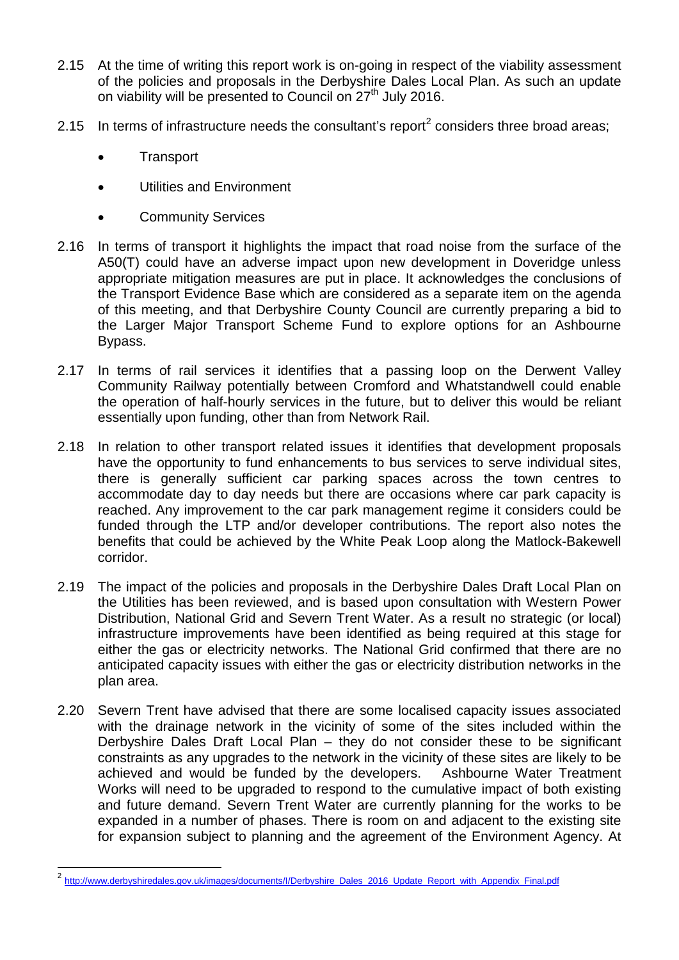- 2.15 At the time of writing this report work is on-going in respect of the viability assessment of the policies and proposals in the Derbyshire Dales Local Plan. As such an update on viability will be presented to Council on  $27<sup>th</sup>$  July 2016.
- [2](#page-20-0).15 In terms of infrastructure needs the consultant's report<sup>2</sup> considers three broad areas;
	- **Transport**
	- Utilities and Environment
	- Community Services
- 2.16 In terms of transport it highlights the impact that road noise from the surface of the A50(T) could have an adverse impact upon new development in Doveridge unless appropriate mitigation measures are put in place. It acknowledges the conclusions of the Transport Evidence Base which are considered as a separate item on the agenda of this meeting, and that Derbyshire County Council are currently preparing a bid to the Larger Major Transport Scheme Fund to explore options for an Ashbourne Bypass.
- 2.17 In terms of rail services it identifies that a passing loop on the Derwent Valley Community Railway potentially between Cromford and Whatstandwell could enable the operation of half-hourly services in the future, but to deliver this would be reliant essentially upon funding, other than from Network Rail.
- 2.18 In relation to other transport related issues it identifies that development proposals have the opportunity to fund enhancements to bus services to serve individual sites, there is generally sufficient car parking spaces across the town centres to accommodate day to day needs but there are occasions where car park capacity is reached. Any improvement to the car park management regime it considers could be funded through the LTP and/or developer contributions. The report also notes the benefits that could be achieved by the White Peak Loop along the Matlock-Bakewell corridor.
- 2.19 The impact of the policies and proposals in the Derbyshire Dales Draft Local Plan on the Utilities has been reviewed, and is based upon consultation with Western Power Distribution, National Grid and Severn Trent Water. As a result no strategic (or local) infrastructure improvements have been identified as being required at this stage for either the gas or electricity networks. The National Grid confirmed that there are no anticipated capacity issues with either the gas or electricity distribution networks in the plan area.
- 2.20 Severn Trent have advised that there are some localised capacity issues associated with the drainage network in the vicinity of some of the sites included within the Derbyshire Dales Draft Local Plan – they do not consider these to be significant constraints as any upgrades to the network in the vicinity of these sites are likely to be achieved and would be funded by the developers. Ashbourne Water Treatment Works will need to be upgraded to respond to the cumulative impact of both existing and future demand. Severn Trent Water are currently planning for the works to be expanded in a number of phases. There is room on and adjacent to the existing site for expansion subject to planning and the agreement of the Environment Agency. At

<span id="page-20-0"></span><sup>&</sup>lt;sup>2</sup> [http://www.derbyshiredales.gov.uk/images/documents/I/Derbyshire\\_Dales\\_2016\\_Update\\_Report\\_with\\_Appendix\\_Final.pdf](http://www.derbyshiredales.gov.uk/images/documents/I/Derbyshire_Dales_2016_Update_Report_with_Appendix_Final.pdf)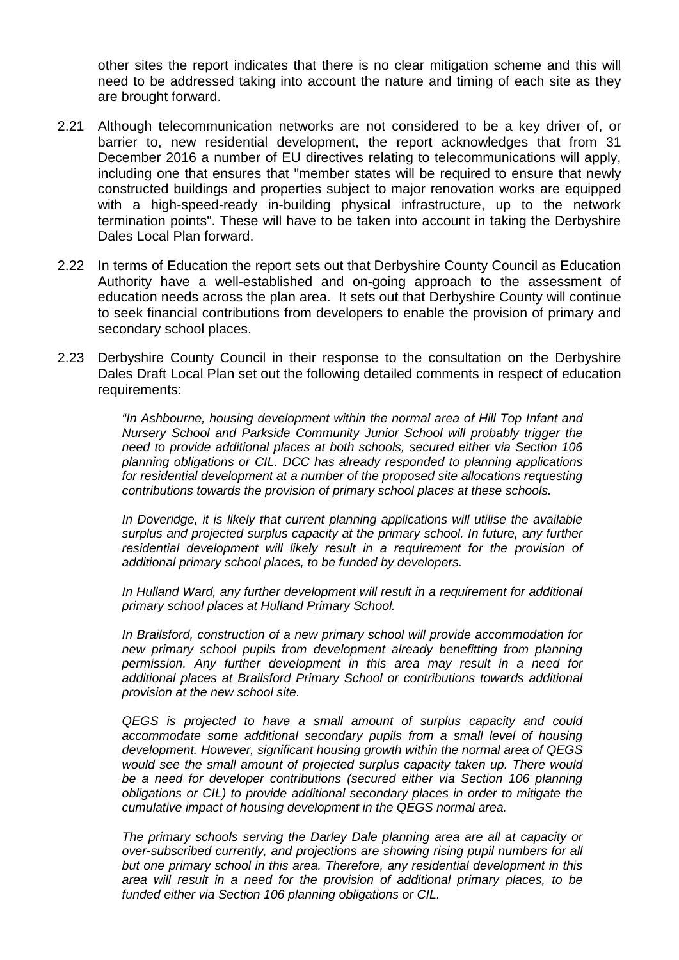other sites the report indicates that there is no clear mitigation scheme and this will need to be addressed taking into account the nature and timing of each site as they are brought forward.

- 2.21 Although telecommunication networks are not considered to be a key driver of, or barrier to, new residential development, the report acknowledges that from 31 December 2016 a number of EU directives relating to telecommunications will apply, including one that ensures that "member states will be required to ensure that newly constructed buildings and properties subject to major renovation works are equipped with a high-speed-ready in-building physical infrastructure, up to the network termination points". These will have to be taken into account in taking the Derbyshire Dales Local Plan forward.
- 2.22 In terms of Education the report sets out that Derbyshire County Council as Education Authority have a well-established and on-going approach to the assessment of education needs across the plan area. It sets out that Derbyshire County will continue to seek financial contributions from developers to enable the provision of primary and secondary school places.
- 2.23 Derbyshire County Council in their response to the consultation on the Derbyshire Dales Draft Local Plan set out the following detailed comments in respect of education requirements:

*"In Ashbourne, housing development within the normal area of Hill Top Infant and Nursery School and Parkside Community Junior School will probably trigger the need to provide additional places at both schools, secured either via Section 106 planning obligations or CIL. DCC has already responded to planning applications for residential development at a number of the proposed site allocations requesting contributions towards the provision of primary school places at these schools.* 

*In Doveridge, it is likely that current planning applications will utilise the available surplus and projected surplus capacity at the primary school. In future, any further residential development will likely result in a requirement for the provision of additional primary school places, to be funded by developers.* 

In Hulland Ward, any further development will result in a requirement for additional *primary school places at Hulland Primary School.* 

*In Brailsford, construction of a new primary school will provide accommodation for new primary school pupils from development already benefitting from planning permission. Any further development in this area may result in a need for additional places at Brailsford Primary School or contributions towards additional provision at the new school site.* 

*QEGS is projected to have a small amount of surplus capacity and could accommodate some additional secondary pupils from a small level of housing development. However, significant housing growth within the normal area of QEGS would see the small amount of projected surplus capacity taken up. There would*  be a need for developer contributions (secured either via Section 106 planning *obligations or CIL) to provide additional secondary places in order to mitigate the cumulative impact of housing development in the QEGS normal area.*

*The primary schools serving the Darley Dale planning area are all at capacity or over-subscribed currently, and projections are showing rising pupil numbers for all but one primary school in this area. Therefore, any residential development in this area will result in a need for the provision of additional primary places, to be funded either via Section 106 planning obligations or CIL.*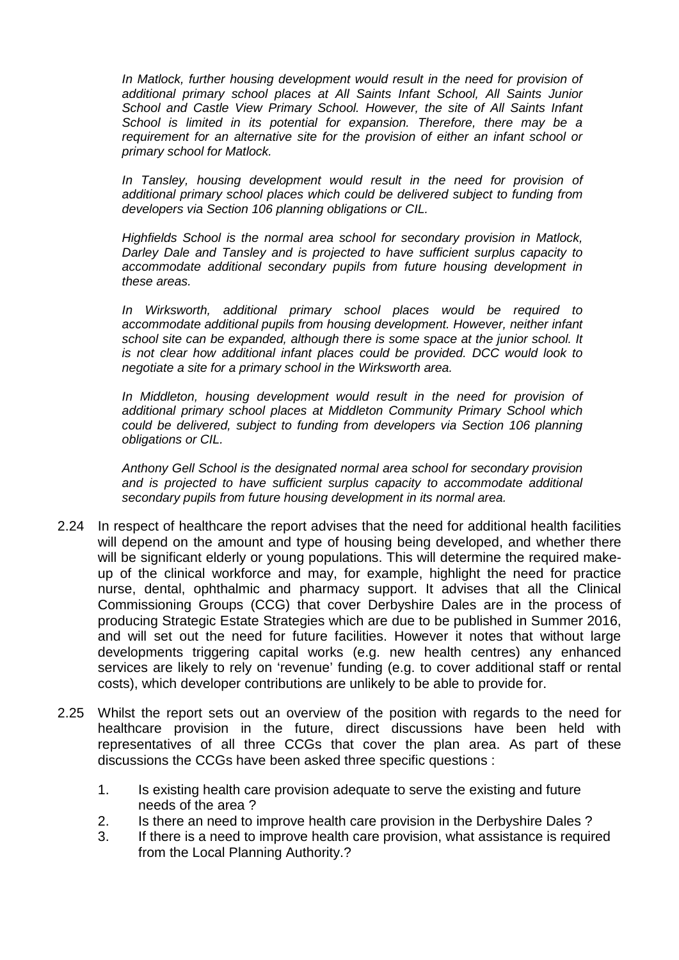In Matlock, further housing development would result in the need for provision of *additional primary school places at All Saints Infant School, All Saints Junior School and Castle View Primary School. However, the site of All Saints Infant School is limited in its potential for expansion. Therefore, there may be a requirement for an alternative site for the provision of either an infant school or primary school for Matlock.* 

*In Tansley, housing development would result in the need for provision of additional primary school places which could be delivered subject to funding from developers via Section 106 planning obligations or CIL.* 

*Highfields School is the normal area school for secondary provision in Matlock, Darley Dale and Tansley and is projected to have sufficient surplus capacity to accommodate additional secondary pupils from future housing development in these areas.*

*In Wirksworth, additional primary school places would be required to accommodate additional pupils from housing development. However, neither infant school site can be expanded, although there is some space at the junior school. It is not clear how additional infant places could be provided. DCC would look to negotiate a site for a primary school in the Wirksworth area.* 

*In Middleton, housing development would result in the need for provision of additional primary school places at Middleton Community Primary School which could be delivered, subject to funding from developers via Section 106 planning obligations or CIL.*

*Anthony Gell School is the designated normal area school for secondary provision and is projected to have sufficient surplus capacity to accommodate additional secondary pupils from future housing development in its normal area.*

- 2.24 In respect of healthcare the report advises that the need for additional health facilities will depend on the amount and type of housing being developed, and whether there will be significant elderly or young populations. This will determine the required makeup of the clinical workforce and may, for example, highlight the need for practice nurse, dental, ophthalmic and pharmacy support. It advises that all the Clinical Commissioning Groups (CCG) that cover Derbyshire Dales are in the process of producing Strategic Estate Strategies which are due to be published in Summer 2016, and will set out the need for future facilities. However it notes that without large developments triggering capital works (e.g. new health centres) any enhanced services are likely to rely on 'revenue' funding (e.g. to cover additional staff or rental costs), which developer contributions are unlikely to be able to provide for.
- 2.25 Whilst the report sets out an overview of the position with regards to the need for healthcare provision in the future, direct discussions have been held with representatives of all three CCGs that cover the plan area. As part of these discussions the CCGs have been asked three specific questions :
	- 1. Is existing health care provision adequate to serve the existing and future needs of the area ?
	- 2. Is there an need to improve health care provision in the Derbyshire Dales ?
	- 3. If there is a need to improve health care provision, what assistance is required from the Local Planning Authority.?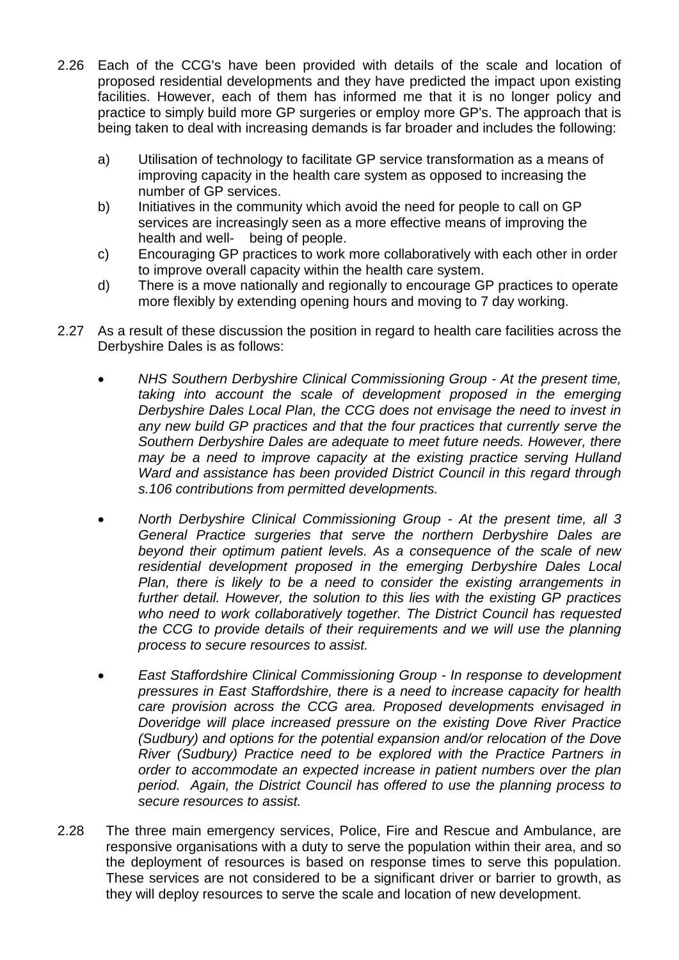- 2.26 Each of the CCG's have been provided with details of the scale and location of proposed residential developments and they have predicted the impact upon existing facilities. However, each of them has informed me that it is no longer policy and practice to simply build more GP surgeries or employ more GP's. The approach that is being taken to deal with increasing demands is far broader and includes the following:
	- a) Utilisation of technology to facilitate GP service transformation as a means of improving capacity in the health care system as opposed to increasing the number of GP services.
	- b) Initiatives in the community which avoid the need for people to call on GP services are increasingly seen as a more effective means of improving the health and well- being of people.
	- c) Encouraging GP practices to work more collaboratively with each other in order to improve overall capacity within the health care system.
	- d) There is a move nationally and regionally to encourage GP practices to operate more flexibly by extending opening hours and moving to 7 day working.
- 2.27 As a result of these discussion the position in regard to health care facilities across the Derbyshire Dales is as follows:
	- *NHS Southern Derbyshire Clinical Commissioning Group At the present time, taking into account the scale of development proposed in the emerging Derbyshire Dales Local Plan, the CCG does not envisage the need to invest in any new build GP practices and that the four practices that currently serve the Southern Derbyshire Dales are adequate to meet future needs. However, there may be a need to improve capacity at the existing practice serving Hulland Ward and assistance has been provided District Council in this regard through s.106 contributions from permitted developments.*
	- *North Derbyshire Clinical Commissioning Group At the present time, all 3 General Practice surgeries that serve the northern Derbyshire Dales are beyond their optimum patient levels. As a consequence of the scale of new residential development proposed in the emerging Derbyshire Dales Local Plan, there is likely to be a need to consider the existing arrangements in further detail. However, the solution to this lies with the existing GP practices who need to work collaboratively together. The District Council has requested the CCG to provide details of their requirements and we will use the planning process to secure resources to assist.*
	- *East Staffordshire Clinical Commissioning Group In response to development pressures in East Staffordshire, there is a need to increase capacity for health care provision across the CCG area. Proposed developments envisaged in Doveridge will place increased pressure on the existing Dove River Practice (Sudbury) and options for the potential expansion and/or relocation of the Dove River (Sudbury) Practice need to be explored with the Practice Partners in order to accommodate an expected increase in patient numbers over the plan period. Again, the District Council has offered to use the planning process to secure resources to assist.*
- 2.28 The three main emergency services, Police, Fire and Rescue and Ambulance, are responsive organisations with a duty to serve the population within their area, and so the deployment of resources is based on response times to serve this population. These services are not considered to be a significant driver or barrier to growth, as they will deploy resources to serve the scale and location of new development.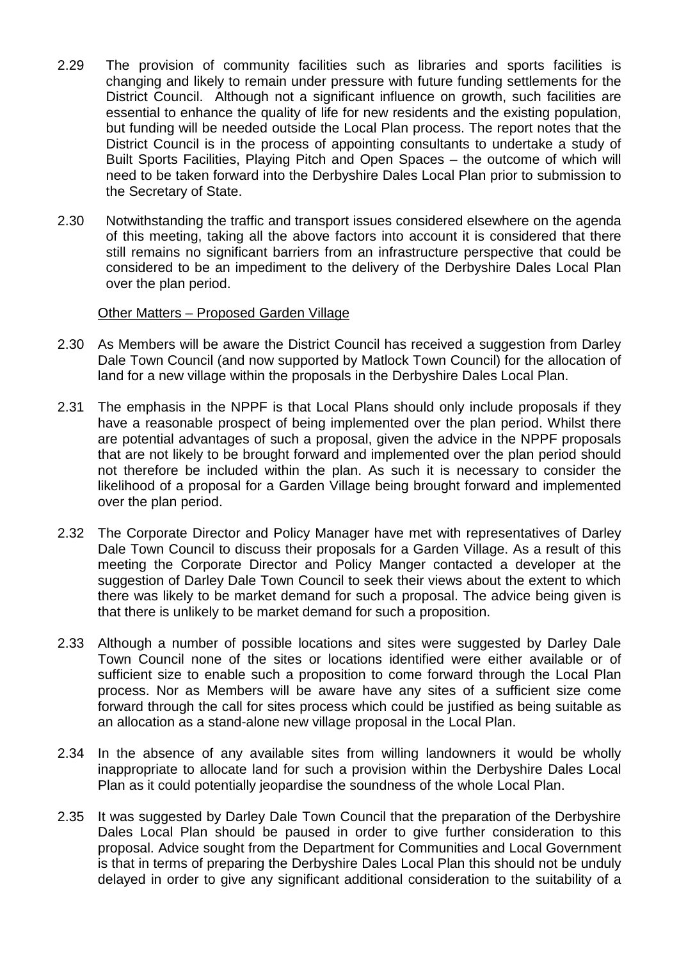- 2.29 The provision of community facilities such as libraries and sports facilities is changing and likely to remain under pressure with future funding settlements for the District Council. Although not a significant influence on growth, such facilities are essential to enhance the quality of life for new residents and the existing population, but funding will be needed outside the Local Plan process. The report notes that the District Council is in the process of appointing consultants to undertake a study of Built Sports Facilities, Playing Pitch and Open Spaces – the outcome of which will need to be taken forward into the Derbyshire Dales Local Plan prior to submission to the Secretary of State.
- 2.30 Notwithstanding the traffic and transport issues considered elsewhere on the agenda of this meeting, taking all the above factors into account it is considered that there still remains no significant barriers from an infrastructure perspective that could be considered to be an impediment to the delivery of the Derbyshire Dales Local Plan over the plan period.

#### Other Matters – Proposed Garden Village

- 2.30 As Members will be aware the District Council has received a suggestion from Darley Dale Town Council (and now supported by Matlock Town Council) for the allocation of land for a new village within the proposals in the Derbyshire Dales Local Plan.
- 2.31 The emphasis in the NPPF is that Local Plans should only include proposals if they have a reasonable prospect of being implemented over the plan period. Whilst there are potential advantages of such a proposal, given the advice in the NPPF proposals that are not likely to be brought forward and implemented over the plan period should not therefore be included within the plan. As such it is necessary to consider the likelihood of a proposal for a Garden Village being brought forward and implemented over the plan period.
- 2.32 The Corporate Director and Policy Manager have met with representatives of Darley Dale Town Council to discuss their proposals for a Garden Village. As a result of this meeting the Corporate Director and Policy Manger contacted a developer at the suggestion of Darley Dale Town Council to seek their views about the extent to which there was likely to be market demand for such a proposal. The advice being given is that there is unlikely to be market demand for such a proposition.
- 2.33 Although a number of possible locations and sites were suggested by Darley Dale Town Council none of the sites or locations identified were either available or of sufficient size to enable such a proposition to come forward through the Local Plan process. Nor as Members will be aware have any sites of a sufficient size come forward through the call for sites process which could be justified as being suitable as an allocation as a stand-alone new village proposal in the Local Plan.
- 2.34 In the absence of any available sites from willing landowners it would be wholly inappropriate to allocate land for such a provision within the Derbyshire Dales Local Plan as it could potentially jeopardise the soundness of the whole Local Plan.
- 2.35 It was suggested by Darley Dale Town Council that the preparation of the Derbyshire Dales Local Plan should be paused in order to give further consideration to this proposal. Advice sought from the Department for Communities and Local Government is that in terms of preparing the Derbyshire Dales Local Plan this should not be unduly delayed in order to give any significant additional consideration to the suitability of a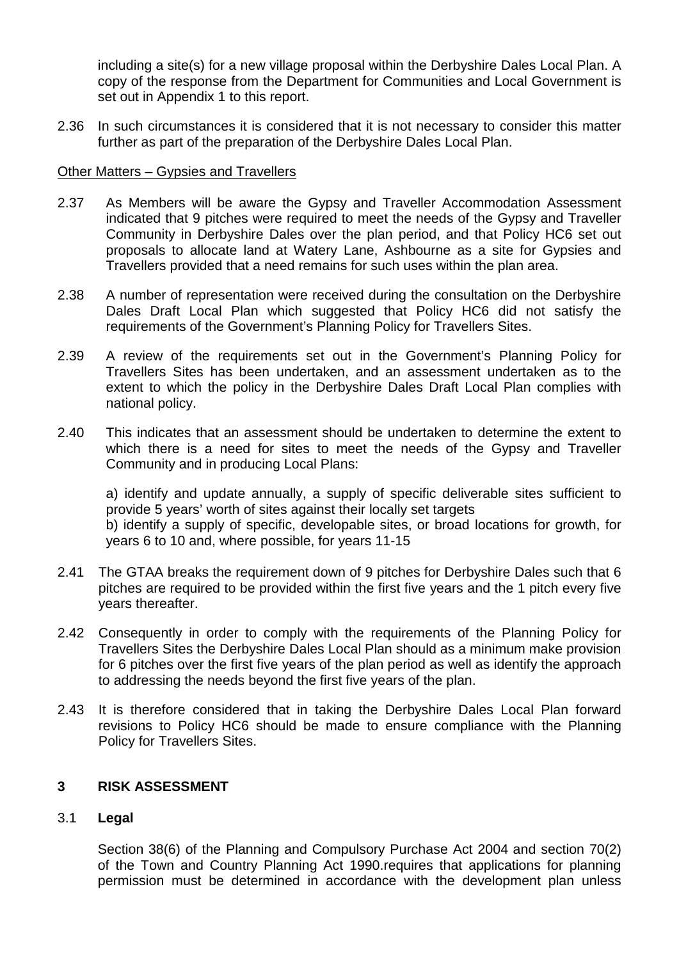including a site(s) for a new village proposal within the Derbyshire Dales Local Plan. A copy of the response from the Department for Communities and Local Government is set out in Appendix 1 to this report.

2.36 In such circumstances it is considered that it is not necessary to consider this matter further as part of the preparation of the Derbyshire Dales Local Plan.

#### Other Matters – Gypsies and Travellers

- 2.37 As Members will be aware the Gypsy and Traveller Accommodation Assessment indicated that 9 pitches were required to meet the needs of the Gypsy and Traveller Community in Derbyshire Dales over the plan period, and that Policy HC6 set out proposals to allocate land at Watery Lane, Ashbourne as a site for Gypsies and Travellers provided that a need remains for such uses within the plan area.
- 2.38 A number of representation were received during the consultation on the Derbyshire Dales Draft Local Plan which suggested that Policy HC6 did not satisfy the requirements of the Government's Planning Policy for Travellers Sites.
- 2.39 A review of the requirements set out in the Government's Planning Policy for Travellers Sites has been undertaken, and an assessment undertaken as to the extent to which the policy in the Derbyshire Dales Draft Local Plan complies with national policy.
- 2.40 This indicates that an assessment should be undertaken to determine the extent to which there is a need for sites to meet the needs of the Gypsy and Traveller Community and in producing Local Plans:

a) identify and update annually, a supply of specific deliverable sites sufficient to provide 5 years' worth of sites against their locally set targets b) identify a supply of specific, developable sites, or broad locations for growth, for years 6 to 10 and, where possible, for years 11-15

- 2.41 The GTAA breaks the requirement down of 9 pitches for Derbyshire Dales such that 6 pitches are required to be provided within the first five years and the 1 pitch every five years thereafter.
- 2.42 Consequently in order to comply with the requirements of the Planning Policy for Travellers Sites the Derbyshire Dales Local Plan should as a minimum make provision for 6 pitches over the first five years of the plan period as well as identify the approach to addressing the needs beyond the first five years of the plan.
- 2.43 It is therefore considered that in taking the Derbyshire Dales Local Plan forward revisions to Policy HC6 should be made to ensure compliance with the Planning Policy for Travellers Sites.

#### **3 RISK ASSESSMENT**

#### 3.1 **Legal**

Section 38(6) of the Planning and Compulsory Purchase Act 2004 and section 70(2) of the Town and Country Planning Act 1990.requires that applications for planning permission must be determined in accordance with the development plan unless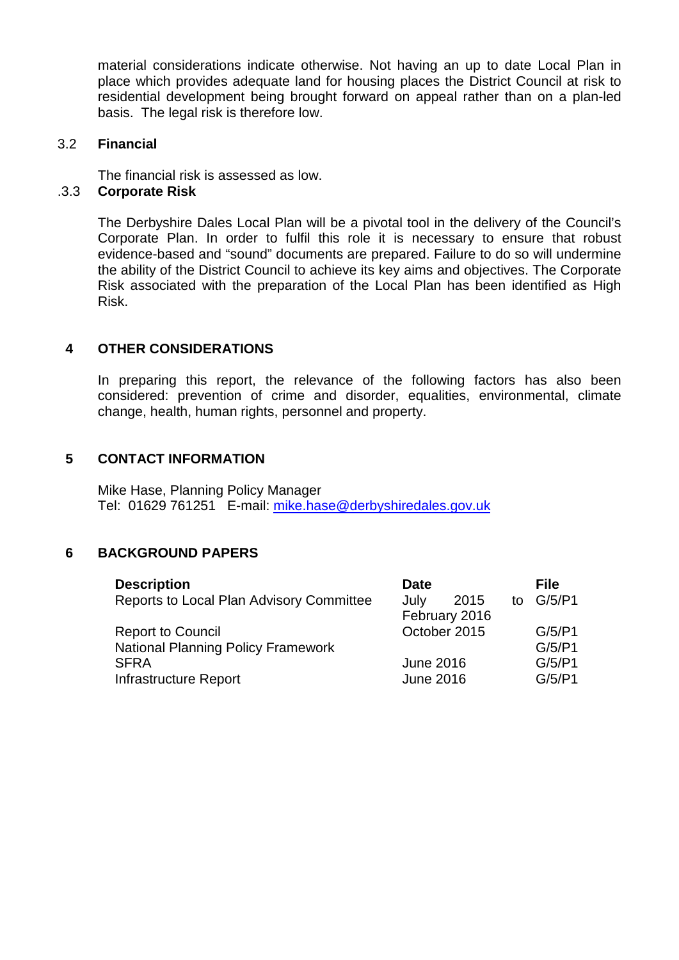material considerations indicate otherwise. Not having an up to date Local Plan in place which provides adequate land for housing places the District Council at risk to residential development being brought forward on appeal rather than on a plan-led basis. The legal risk is therefore low.

#### 3.2 **Financial**

The financial risk is assessed as low.

#### .3.3 **Corporate Risk**

The Derbyshire Dales Local Plan will be a pivotal tool in the delivery of the Council's Corporate Plan. In order to fulfil this role it is necessary to ensure that robust evidence-based and "sound" documents are prepared. Failure to do so will undermine the ability of the District Council to achieve its key aims and objectives. The Corporate Risk associated with the preparation of the Local Plan has been identified as High Risk.

#### **4 OTHER CONSIDERATIONS**

In preparing this report, the relevance of the following factors has also been considered: prevention of crime and disorder, equalities, environmental, climate change, health, human rights, personnel and property.

#### **5 CONTACT INFORMATION**

Mike Hase, Planning Policy Manager Tel: 01629 761251 E-mail: [mike.hase@derbyshiredales.gov.uk](mailto:mike.hase@derbyshiredales.gov.uk)

#### **6 BACKGROUND PAPERS**

| <b>Description</b>                        | <b>Date</b>      | <b>File</b> |
|-------------------------------------------|------------------|-------------|
| Reports to Local Plan Advisory Committee  | July<br>2015     | to G/5/P1   |
|                                           | February 2016    |             |
| <b>Report to Council</b>                  | October 2015     | G/5/P1      |
| <b>National Planning Policy Framework</b> |                  | G/5/P1      |
| <b>SFRA</b>                               | <b>June 2016</b> | G/5/P1      |
| Infrastructure Report                     | <b>June 2016</b> | G/5/P1      |
|                                           |                  |             |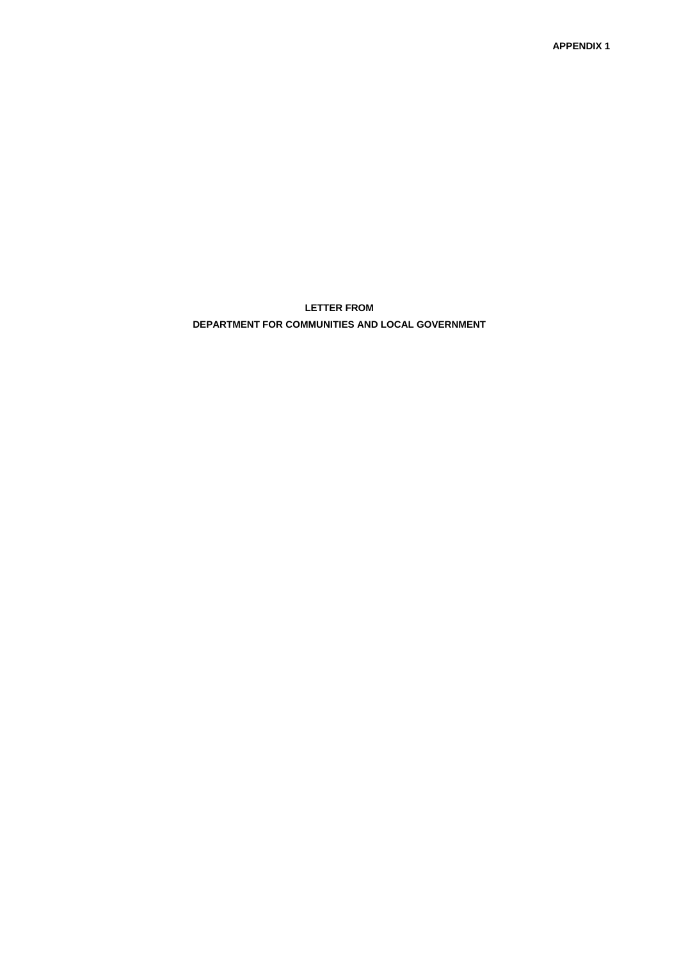**APPENDIX 1**

**LETTER FROM** 

**DEPARTMENT FOR COMMUNITIES AND LOCAL GOVERNMENT**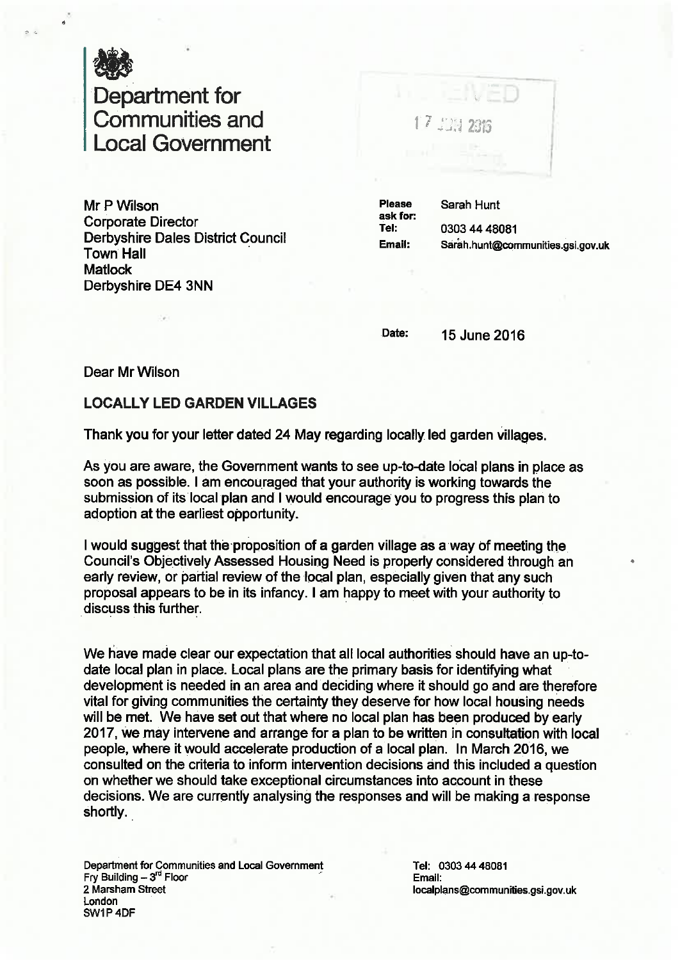

# Department for<br>Communities and ocal Government

Mr P Wilson **Corporate Director Derbyshire Dales District Council Town Hall Matlock** Derbyshire DE4 3NN

17 JUN 2816

**Please** Sarah Hunt ask for: 0303 44 48081 Tel: Email: Sarah.hunt@communities.gsi.gov.uk

Date:

15 June 2016

Dear Mr Wilson

## **LOCALLY LED GARDEN VILLAGES**

Thank you for your letter dated 24 May regarding locally led garden villages.

As you are aware, the Government wants to see up-to-date local plans in place as soon as possible. I am encouraged that your authority is working towards the submission of its local plan and I would encourage you to progress this plan to adoption at the earliest opportunity.

I would suggest that the proposition of a garden village as a way of meeting the Council's Objectively Assessed Housing Need is properly considered through an early review, or partial review of the local plan, especially given that any such proposal appears to be in its infancy. I am happy to meet with your authority to discuss this further.

We have made clear our expectation that all local authorities should have an up-todate local plan in place. Local plans are the primary basis for identifying what development is needed in an area and deciding where it should go and are therefore vital for giving communities the certainty they deserve for how local housing needs will be met. We have set out that where no local plan has been produced by early 2017, we may intervene and arrange for a plan to be written in consultation with local people, where it would accelerate production of a local plan. In March 2016, we consulted on the criteria to inform intervention decisions and this included a question on whether we should take exceptional circumstances into account in these decisions. We are currently analysing the responses and will be making a response shortly.

Department for Communities and Local Government<br>Fry Building -  $3^{\text{rd}}$  Floor 2 Marsham Street London SW1P4DF

Tel: 0303 44 48081 Email: localplans@communities.gsi.gov.uk